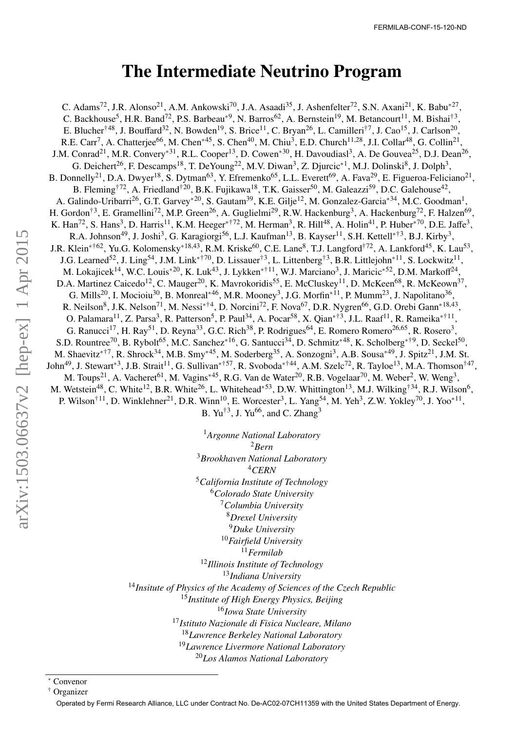## The Intermediate Neutrino Program

C. Adams<sup>72</sup>, J.R. Alonso<sup>21</sup>, A.M. Ankowski<sup>70</sup>, J.A. Asaadi<sup>35</sup>, J. Ashenfelter<sup>72</sup>, S.N. Axani<sup>21</sup>, K. Babu<sup>\*27</sup>, C. Backhouse<sup>5</sup>, H.R. Band<sup>72</sup>, P.S. Barbeau<sup>\*9</sup>, N. Barros<sup>62</sup>, A. Bernstein<sup>19</sup>, M. Betancourt<sup>11</sup>, M. Bishai<sup>†3</sup>, E. Blucher<sup>†48</sup>, J. Bouffard<sup>32</sup>, N. Bowden<sup>19</sup>, S. Brice<sup>11</sup>, C. Bryan<sup>26</sup>, L. Camilleri<sup>†7</sup>, J. Cao<sup>15</sup>, J. Carlson<sup>20</sup>, R.E. Carr<sup>7</sup>, A. Chatterjee<sup>66</sup>, M. Chen<sup>\*45</sup>, S. Chen<sup>40</sup>, M. Chiu<sup>3</sup>, E.D. Church<sup>11,28</sup>, J.I. Collar<sup>48</sup>, G. Collin<sup>21</sup>, J.M. Conrad<sup>21</sup>, M.R. Convery<sup>∗31</sup>, R.L. Cooper<sup>13</sup>, D. Cowen<sup>∗30</sup>, H. Davoudiasl<sup>3</sup>, A. De Gouvea<sup>25</sup>, D.J. Dean<sup>26</sup>, G. Deichert<sup>26</sup>, F. Descamps<sup>18</sup>, T. DeYoung<sup>22</sup>, M.V. Diwan<sup>3</sup>, Z. Djurcic<sup>\*1</sup>, M.J. Dolinski<sup>8</sup>, J. Dolph<sup>3</sup>, B. Donnelly<sup>21</sup>, D.A. Dwyer<sup>18</sup>, S. Dytman<sup>63</sup>, Y. Efremenko<sup>65</sup>, L.L. Everett<sup>69</sup>, A. Fava<sup>29</sup>, E. Figueroa-Feliciano<sup>21</sup>, B. Fleming<sup>†72</sup>, A. Friedland<sup>†20</sup>, B.K. Fujikawa<sup>18</sup>, T.K. Gaisser<sup>50</sup>, M. Galeazzi<sup>59</sup>, D.C. Galehouse<sup>42</sup>, A. Galindo-Uribarri<sup>26</sup>, G.T. Garvey<sup>∗20</sup>, S. Gautam<sup>39</sup>, K.E. Gilje<sup>12</sup>, M. Gonzalez-Garcia<sup>∗34</sup>, M.C. Goodman<sup>1</sup>, H. Gordon<sup>†3</sup>, E. Gramellini<sup>72</sup>, M.P. Green<sup>26</sup>, A. Guglielmi<sup>29</sup>, R.W. Hackenburg<sup>3</sup>, A. Hackenburg<sup>72</sup>, F. Halzen<sup>69</sup>, K. Han<sup>72</sup>, S. Hans<sup>3</sup>, D. Harris<sup>11</sup>, K.M. Heeger<sup>\*†72</sup>, M. Herman<sup>3</sup>, R. Hill<sup>48</sup>, A. Holin<sup>41</sup>, P. Huber<sup>\*70</sup>, D.E. Jaffe<sup>3</sup>, R.A. Johnson<sup>49</sup>, J. Joshi<sup>3</sup>, G. Karagiorgi<sup>56</sup>, L.J. Kaufman<sup>13</sup>, B. Kayser<sup>11</sup>, S.H. Kettell<sup>\*†3</sup>, B.J. Kirby<sup>3</sup>, J.R. Klein<sup>∗†62</sup>, Yu.G. Kolomensky<sup>∗18,43</sup>, R.M. Kriske<sup>60</sup>, C.E. Lane<sup>8</sup>, T.J. Langford<sup>†72</sup>, A. Lankford<sup>45</sup>, K. Lau<sup>53</sup>, J.G. Learned<sup>52</sup>, J. Ling<sup>54</sup>, J.M. Link<sup>\*†70</sup>, D. Lissauer<sup>†3</sup>, L. Littenberg<sup>†3</sup>, B.R. Littlejohn<sup>\*11</sup>, S. Lockwitz<sup>11</sup>, M. Lokajicek<sup>14</sup>, W.C. Louis<sup>\*20</sup>, K. Luk<sup>43</sup>, J. Lykken<sup>\*†11</sup>, W.J. Marciano<sup>3</sup>, J. Maricic<sup>\*52</sup>, D.M. Markoff<sup>24</sup>, D.A. Martinez Caicedo<sup>12</sup>, C. Mauger<sup>20</sup>, K. Mavrokoridis<sup>55</sup>, E. McCluskey<sup>11</sup>, D. McKeen<sup>68</sup>, R. McKeown<sup>37</sup>, G. Mills<sup>20</sup>, I. Mocioiu<sup>30</sup>, B. Monreal<sup>∗46</sup>, M.R. Mooney<sup>3</sup>, J.G. Morfin<sup>∗11</sup>, P. Mumm<sup>23</sup>, J. Napolitano<sup>36</sup>, R. Neilson<sup>8</sup>, J.K. Nelson<sup>71</sup>, M. Nessi<sup>∗†4</sup>, D. Norcini<sup>72</sup>, F. Nova<sup>67</sup>, D.R. Nygren<sup>66</sup>, G.D. Orebi Gann<sup>∗18,43</sup>, O. Palamara<sup>11</sup>, Z. Parsa<sup>3</sup>, R. Patterson<sup>5</sup>, P. Paul<sup>34</sup>, A. Pocar<sup>58</sup>, X. Qian<sup>\*†3</sup>, J.L. Raaf<sup>11</sup>, R. Rameika<sup>\*†11</sup>, G. Ranucci<sup>17</sup>, H. Ray<sup>51</sup>, D. Reyna<sup>33</sup>, G.C. Rich<sup>38</sup>, P. Rodrigues<sup>64</sup>, E. Romero Romero<sup>26,65</sup>, R. Rosero<sup>3</sup>, S.D. Rountree<sup>70</sup>, B. Rybolt<sup>65</sup>, M.C. Sanchez<sup>∗16</sup>, G. Santucci<sup>34</sup>, D. Schmitz<sup>∗48</sup>, K. Scholberg<sup>∗†9</sup>, D. Seckel<sup>50</sup>, M. Shaevitz<sup>\*†7</sup>, R. Shrock<sup>34</sup>, M.B. Smy<sup>\*45</sup>, M. Soderberg<sup>35</sup>, A. Sonzogni<sup>3</sup>, A.B. Sousa<sup>\*49</sup>, J. Spitz<sup>21</sup>, J.M. St. John<sup>49</sup>, J. Stewart<sup>∗3</sup>, J.B. Strait<sup>11</sup>, G. Sullivan<sup>∗†57</sup>, R. Svoboda<sup>∗†44</sup>, A.M. Szelc<sup>72</sup>, R. Tayloe<sup>13</sup>, M.A. Thomson<sup>†47</sup>, M. Toups<sup>21</sup>, A. Vacheret<sup>61</sup>, M. Vagins<sup>∗45</sup>, R.G. Van de Water<sup>20</sup>, R.B. Vogelaar<sup>70</sup>, M. Weber<sup>2</sup>, W. Weng<sup>3</sup>, M. Wetstein<sup>48</sup>, C. White<sup>12</sup>, B.R. White<sup>26</sup>, L. Whitehead<sup>∗53</sup>, D.W. Whittington<sup>13</sup>, M.J. Wilking<sup>†34</sup>, R.J. Wilson<sup>6</sup>, P. Wilson<sup>†11</sup>, D. Winklehner<sup>21</sup>, D.R. Winn<sup>10</sup>, E. Worcester<sup>3</sup>, L. Yang<sup>54</sup>, M. Yeh<sup>3</sup>, Z.W. Yokley<sup>70</sup>, J. Yoo<sup>\*11</sup>,

B. Yu<sup>†3</sup>, J. Yu<sup>66</sup>, and C. Zhang<sup>3</sup>

*Argonne National Laboratory* <sup>2</sup>*Bern Brookhaven National Laboratory* <sup>4</sup>*CERN California Institute of Technology Colorado State University Columbia University Drexel University Duke University Fairfield University* <sup>11</sup>*Fermilab Illinois Institute of Technology Indiana University Insitute of Physics of the Academy of Sciences of the Czech Republic Institute of High Energy Physics, Beijing Iowa State University Istituto Nazionale di Fisica Nucleare, Milano Lawrence Berkeley National Laboratory Lawrence Livermore National Laboratory Los Alamos National Laboratory*

<sup>∗</sup> Convenor

<sup>†</sup> Organizer

Operated by Fermi Research Alliance, LLC under Contract No. De-AC02-07CH11359 with the United States Department of Energy.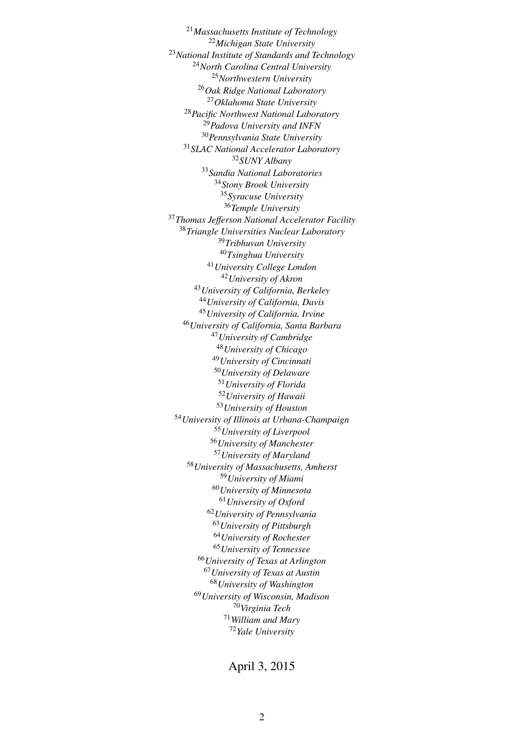*Massachusetts Institute of Technology Michigan State University National Institute of Standards and Technology North Carolina Central University Northwestern University Oak Ridge National Laboratory Oklahoma State University Pacific Northwest National Laboratory Padova University and INFN Pennsylvania State University SLAC National Accelerator Laboratory SUNY Albany Sandia National Laboratories Stony Brook University Syracuse University Temple University Thomas Je*ff*erson National Accelerator Facility Triangle Universities Nuclear Laboratory Tribhuvan University Tsinghua University University College London University of Akron University of California, Berkeley University of California, Davis University of California, Irvine University of California, Santa Barbara University of Cambridge University of Chicago University of Cincinnati University of Delaware University of Florida University of Hawaii University of Houston University of Illinois at Urbana-Champaign University of Liverpool University of Manchester University of Maryland University of Massachusetts, Amherst University of Miami University of Minnesota University of Oxford University of Pennsylvania University of Pittsburgh University of Rochester University of Tennessee University of Texas at Arlington University of Texas at Austin University of Washington University of Wisconsin, Madison Virginia Tech William and Mary Yale University*

April 3, 2015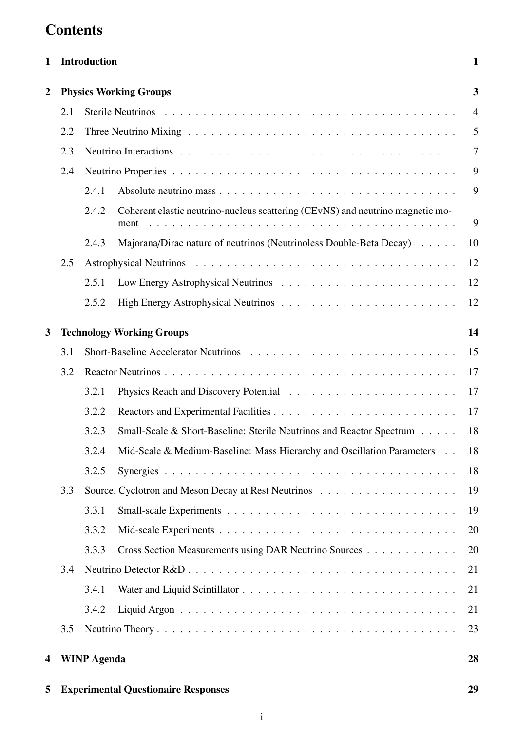# **Contents**

| 1              |                               | Introduction       |                                                                                        |                |  |  |
|----------------|-------------------------------|--------------------|----------------------------------------------------------------------------------------|----------------|--|--|
| $\overline{2}$ | <b>Physics Working Groups</b> |                    |                                                                                        |                |  |  |
|                | 2.1                           |                    |                                                                                        | $\overline{4}$ |  |  |
|                | 2.2                           |                    |                                                                                        | 5              |  |  |
|                | 2.3                           |                    |                                                                                        |                |  |  |
|                | 2.4                           |                    |                                                                                        | 9              |  |  |
|                |                               | 2.4.1              |                                                                                        | 9              |  |  |
|                |                               | 2.4.2              | Coherent elastic neutrino-nucleus scattering (CEvNS) and neutrino magnetic mo-<br>ment | 9              |  |  |
|                |                               | 2.4.3              | Majorana/Dirac nature of neutrinos (Neutrinoless Double-Beta Decay)                    | 10             |  |  |
|                | 2.5                           |                    |                                                                                        | 12             |  |  |
|                |                               | 2.5.1              |                                                                                        | 12             |  |  |
|                |                               | 2.5.2              |                                                                                        | 12             |  |  |
| 3              |                               |                    | <b>Technology Working Groups</b>                                                       | 14             |  |  |
|                | 3.1                           |                    |                                                                                        | 15             |  |  |
|                | 3.2                           |                    |                                                                                        | 17             |  |  |
|                |                               | 3.2.1              |                                                                                        | 17             |  |  |
|                |                               | 3.2.2              |                                                                                        | 17             |  |  |
|                |                               | 3.2.3              | Small-Scale & Short-Baseline: Sterile Neutrinos and Reactor Spectrum                   | 18             |  |  |
|                |                               | 3.2.4              | Mid-Scale & Medium-Baseline: Mass Hierarchy and Oscillation Parameters                 | 18             |  |  |
|                |                               | 3.2.5              |                                                                                        | 18             |  |  |
|                | 3.3                           |                    |                                                                                        | 19             |  |  |
|                |                               | 3.3.1              |                                                                                        | 19             |  |  |
|                |                               | 3.3.2              |                                                                                        | 20             |  |  |
|                |                               | 3.3.3              | Cross Section Measurements using DAR Neutrino Sources                                  | 20             |  |  |
|                | 3.4                           |                    |                                                                                        | 21             |  |  |
|                |                               | 3.4.1              |                                                                                        | 21             |  |  |
|                |                               | 3.4.2              |                                                                                        | 21             |  |  |
|                | 3.5                           |                    |                                                                                        | 23             |  |  |
| 4              |                               | <b>WINP Agenda</b> |                                                                                        | 28             |  |  |

5 Experimental Questionaire Responses [29](#page-31-0)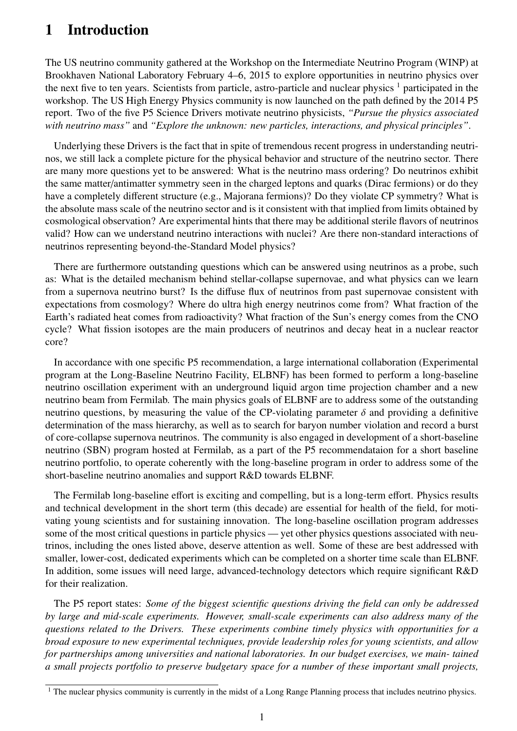## <span id="page-3-0"></span>1 Introduction

The US neutrino community gathered at the Workshop on the Intermediate Neutrino Program (WINP) at Brookhaven National Laboratory February 4–6, 2015 to explore opportunities in neutrino physics over the next five to ten years. Scientists from particle, astro-particle and nuclear physics  $<sup>1</sup>$  $<sup>1</sup>$  $<sup>1</sup>$  participated in the</sup> workshop. The US High Energy Physics community is now launched on the path defined by the 2014 P5 report. Two of the five P5 Science Drivers motivate neutrino physicists, *"Pursue the physics associated with neutrino mass"* and *"Explore the unknown: new particles, interactions, and physical principles"*.

Underlying these Drivers is the fact that in spite of tremendous recent progress in understanding neutrinos, we still lack a complete picture for the physical behavior and structure of the neutrino sector. There are many more questions yet to be answered: What is the neutrino mass ordering? Do neutrinos exhibit the same matter/antimatter symmetry seen in the charged leptons and quarks (Dirac fermions) or do they have a completely different structure (e.g., Majorana fermions)? Do they violate CP symmetry? What is the absolute mass scale of the neutrino sector and is it consistent with that implied from limits obtained by cosmological observation? Are experimental hints that there may be additional sterile flavors of neutrinos valid? How can we understand neutrino interactions with nuclei? Are there non-standard interactions of neutrinos representing beyond-the-Standard Model physics?

There are furthermore outstanding questions which can be answered using neutrinos as a probe, such as: What is the detailed mechanism behind stellar-collapse supernovae, and what physics can we learn from a supernova neutrino burst? Is the diffuse flux of neutrinos from past supernovae consistent with expectations from cosmology? Where do ultra high energy neutrinos come from? What fraction of the Earth's radiated heat comes from radioactivity? What fraction of the Sun's energy comes from the CNO cycle? What fission isotopes are the main producers of neutrinos and decay heat in a nuclear reactor core?

In accordance with one specific P5 recommendation, a large international collaboration (Experimental program at the Long-Baseline Neutrino Facility, ELBNF) has been formed to perform a long-baseline neutrino oscillation experiment with an underground liquid argon time projection chamber and a new neutrino beam from Fermilab. The main physics goals of ELBNF are to address some of the outstanding neutrino questions, by measuring the value of the CP-violating parameter  $\delta$  and providing a definitive determination of the mass hierarchy, as well as to search for baryon number violation and record a burst of core-collapse supernova neutrinos. The community is also engaged in development of a short-baseline neutrino (SBN) program hosted at Fermilab, as a part of the P5 recommendataion for a short baseline neutrino portfolio, to operate coherently with the long-baseline program in order to address some of the short-baseline neutrino anomalies and support R&D towards ELBNF.

The Fermilab long-baseline effort is exciting and compelling, but is a long-term effort. Physics results and technical development in the short term (this decade) are essential for health of the field, for motivating young scientists and for sustaining innovation. The long-baseline oscillation program addresses some of the most critical questions in particle physics — yet other physics questions associated with neutrinos, including the ones listed above, deserve attention as well. Some of these are best addressed with smaller, lower-cost, dedicated experiments which can be completed on a shorter time scale than ELBNF. In addition, some issues will need large, advanced-technology detectors which require significant R&D for their realization.

The P5 report states: *Some of the biggest scientific questions driving the field can only be addressed by large and mid-scale experiments. However, small-scale experiments can also address many of the questions related to the Drivers. These experiments combine timely physics with opportunities for a broad exposure to new experimental techniques, provide leadership roles for young scientists, and allow for partnerships among universities and national laboratories. In our budget exercises, we main- tained a small projects portfolio to preserve budgetary space for a number of these important small projects,*

<span id="page-3-1"></span> $1$  The nuclear physics community is currently in the midst of a Long Range Planning process that includes neutrino physics.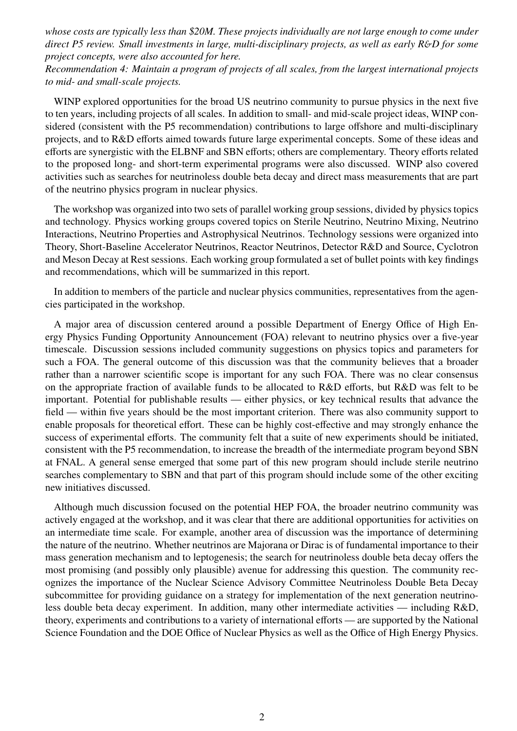*whose costs are typically less than \$20M. These projects individually are not large enough to come under direct P5 review. Small investments in large, multi-disciplinary projects, as well as early R*&*D for some project concepts, were also accounted for here.*

*Recommendation 4: Maintain a program of projects of all scales, from the largest international projects to mid- and small-scale projects.*

WINP explored opportunities for the broad US neutrino community to pursue physics in the next five to ten years, including projects of all scales. In addition to small- and mid-scale project ideas, WINP considered (consistent with the P5 recommendation) contributions to large offshore and multi-disciplinary projects, and to R&D efforts aimed towards future large experimental concepts. Some of these ideas and efforts are synergistic with the ELBNF and SBN efforts; others are complementary. Theory efforts related to the proposed long- and short-term experimental programs were also discussed. WINP also covered activities such as searches for neutrinoless double beta decay and direct mass measurements that are part of the neutrino physics program in nuclear physics.

The workshop was organized into two sets of parallel working group sessions, divided by physics topics and technology. Physics working groups covered topics on Sterile Neutrino, Neutrino Mixing, Neutrino Interactions, Neutrino Properties and Astrophysical Neutrinos. Technology sessions were organized into Theory, Short-Baseline Accelerator Neutrinos, Reactor Neutrinos, Detector R&D and Source, Cyclotron and Meson Decay at Rest sessions. Each working group formulated a set of bullet points with key findings and recommendations, which will be summarized in this report.

In addition to members of the particle and nuclear physics communities, representatives from the agencies participated in the workshop.

A major area of discussion centered around a possible Department of Energy Office of High Energy Physics Funding Opportunity Announcement (FOA) relevant to neutrino physics over a five-year timescale. Discussion sessions included community suggestions on physics topics and parameters for such a FOA. The general outcome of this discussion was that the community believes that a broader rather than a narrower scientific scope is important for any such FOA. There was no clear consensus on the appropriate fraction of available funds to be allocated to R&D efforts, but R&D was felt to be important. Potential for publishable results — either physics, or key technical results that advance the field — within five years should be the most important criterion. There was also community support to enable proposals for theoretical effort. These can be highly cost-effective and may strongly enhance the success of experimental efforts. The community felt that a suite of new experiments should be initiated, consistent with the P5 recommendation, to increase the breadth of the intermediate program beyond SBN at FNAL. A general sense emerged that some part of this new program should include sterile neutrino searches complementary to SBN and that part of this program should include some of the other exciting new initiatives discussed.

Although much discussion focused on the potential HEP FOA, the broader neutrino community was actively engaged at the workshop, and it was clear that there are additional opportunities for activities on an intermediate time scale. For example, another area of discussion was the importance of determining the nature of the neutrino. Whether neutrinos are Majorana or Dirac is of fundamental importance to their mass generation mechanism and to leptogenesis; the search for neutrinoless double beta decay offers the most promising (and possibly only plausible) avenue for addressing this question. The community recognizes the importance of the Nuclear Science Advisory Committee Neutrinoless Double Beta Decay subcommittee for providing guidance on a strategy for implementation of the next generation neutrinoless double beta decay experiment. In addition, many other intermediate activities — including R&D, theory, experiments and contributions to a variety of international efforts — are supported by the National Science Foundation and the DOE Office of Nuclear Physics as well as the Office of High Energy Physics.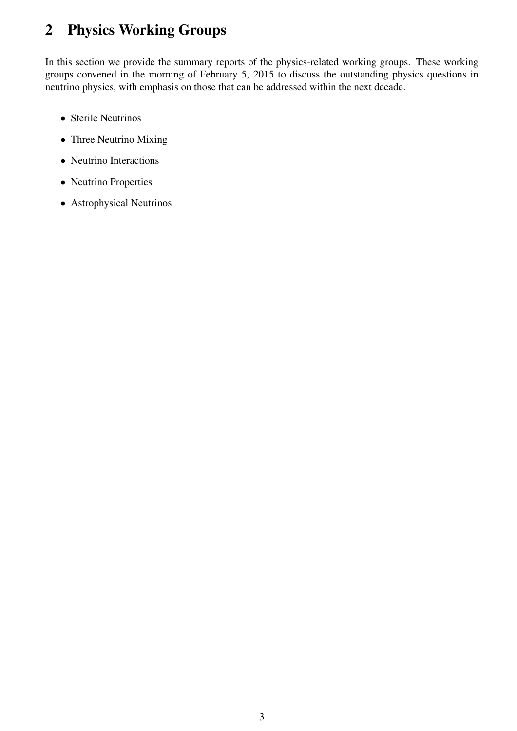## <span id="page-5-0"></span>2 Physics Working Groups

In this section we provide the summary reports of the physics-related working groups. These working groups convened in the morning of February 5, 2015 to discuss the outstanding physics questions in neutrino physics, with emphasis on those that can be addressed within the next decade.

- Sterile Neutrinos
- Three Neutrino Mixing
- Neutrino Interactions
- Neutrino Properties
- Astrophysical Neutrinos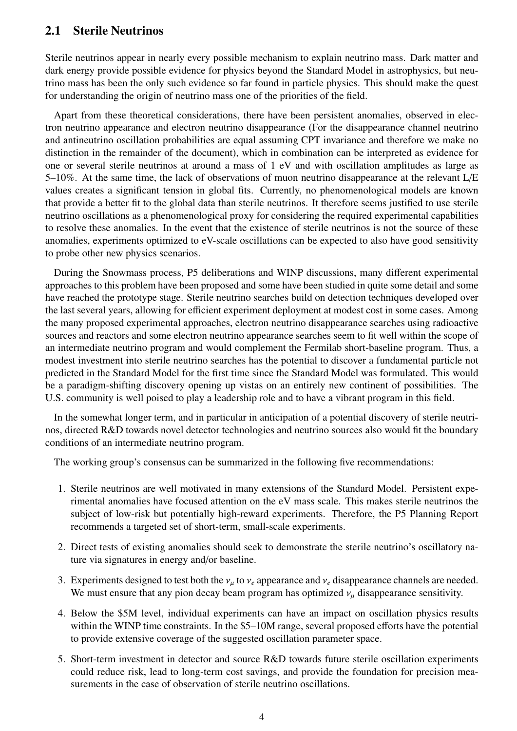## <span id="page-6-0"></span>2.1 Sterile Neutrinos

Sterile neutrinos appear in nearly every possible mechanism to explain neutrino mass. Dark matter and dark energy provide possible evidence for physics beyond the Standard Model in astrophysics, but neutrino mass has been the only such evidence so far found in particle physics. This should make the quest for understanding the origin of neutrino mass one of the priorities of the field.

Apart from these theoretical considerations, there have been persistent anomalies, observed in electron neutrino appearance and electron neutrino disappearance (For the disappearance channel neutrino and antineutrino oscillation probabilities are equal assuming CPT invariance and therefore we make no distinction in the remainder of the document), which in combination can be interpreted as evidence for one or several sterile neutrinos at around a mass of 1 eV and with oscillation amplitudes as large as 5–10%. At the same time, the lack of observations of muon neutrino disappearance at the relevant L/E values creates a significant tension in global fits. Currently, no phenomenological models are known that provide a better fit to the global data than sterile neutrinos. It therefore seems justified to use sterile neutrino oscillations as a phenomenological proxy for considering the required experimental capabilities to resolve these anomalies. In the event that the existence of sterile neutrinos is not the source of these anomalies, experiments optimized to eV-scale oscillations can be expected to also have good sensitivity to probe other new physics scenarios.

During the Snowmass process, P5 deliberations and WINP discussions, many different experimental approaches to this problem have been proposed and some have been studied in quite some detail and some have reached the prototype stage. Sterile neutrino searches build on detection techniques developed over the last several years, allowing for efficient experiment deployment at modest cost in some cases. Among the many proposed experimental approaches, electron neutrino disappearance searches using radioactive sources and reactors and some electron neutrino appearance searches seem to fit well within the scope of an intermediate neutrino program and would complement the Fermilab short-baseline program. Thus, a modest investment into sterile neutrino searches has the potential to discover a fundamental particle not predicted in the Standard Model for the first time since the Standard Model was formulated. This would be a paradigm-shifting discovery opening up vistas on an entirely new continent of possibilities. The U.S. community is well poised to play a leadership role and to have a vibrant program in this field.

In the somewhat longer term, and in particular in anticipation of a potential discovery of sterile neutrinos, directed R&D towards novel detector technologies and neutrino sources also would fit the boundary conditions of an intermediate neutrino program.

The working group's consensus can be summarized in the following five recommendations:

- 1. Sterile neutrinos are well motivated in many extensions of the Standard Model. Persistent experimental anomalies have focused attention on the eV mass scale. This makes sterile neutrinos the subject of low-risk but potentially high-reward experiments. Therefore, the P5 Planning Report recommends a targeted set of short-term, small-scale experiments.
- 2. Direct tests of existing anomalies should seek to demonstrate the sterile neutrino's oscillatory nature via signatures in energy and/or baseline.
- 3. Experiments designed to test both the  $v_\mu$  to  $v_e$  appearance and  $v_e$  disappearance channels are needed. We must ensure that any pion decay beam program has optimized  $v<sub>u</sub>$  disappearance sensitivity.
- 4. Below the \$5M level, individual experiments can have an impact on oscillation physics results within the WINP time constraints. In the \$5–10M range, several proposed efforts have the potential to provide extensive coverage of the suggested oscillation parameter space.
- 5. Short-term investment in detector and source R&D towards future sterile oscillation experiments could reduce risk, lead to long-term cost savings, and provide the foundation for precision measurements in the case of observation of sterile neutrino oscillations.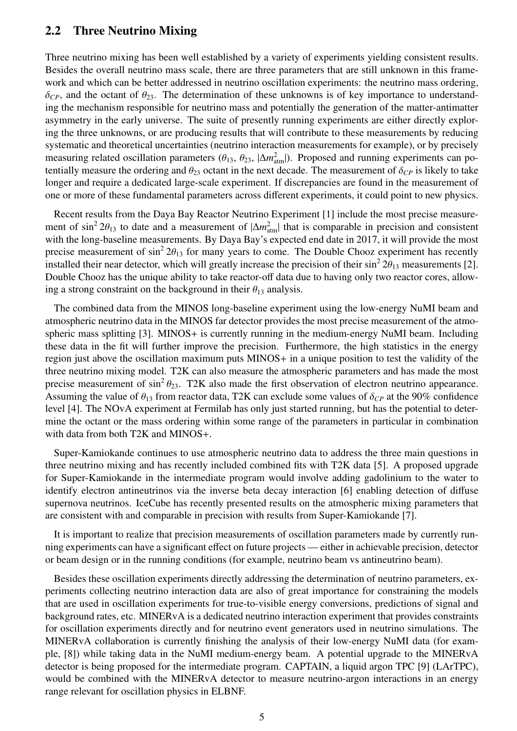### <span id="page-7-0"></span>2.2 Three Neutrino Mixing

Three neutrino mixing has been well established by a variety of experiments yielding consistent results. Besides the overall neutrino mass scale, there are three parameters that are still unknown in this framework and which can be better addressed in neutrino oscillation experiments: the neutrino mass ordering,  $\delta_{CP}$ , and the octant of  $\theta_{23}$ . The determination of these unknowns is of key importance to understanding the mechanism responsible for neutrino mass and potentially the generation of the matter-antimatter asymmetry in the early universe. The suite of presently running experiments are either directly exploring the three unknowns, or are producing results that will contribute to these measurements by reducing systematic and theoretical uncertainties (neutrino interaction measurements for example), or by precisely measuring related oscillation parameters ( $\theta_{13}$ ,  $\theta_{23}$ ,  $|\Delta m_{\text{atm}}^2|$ ). Proposed and running experiments can po-<br>tentially measure the ordering and  $\theta_{23}$  octant in the next decade. The measurement of  $\delta_{23}$  i tentially measure the ordering and  $\theta_{23}$  octant in the next decade. The measurement of  $\delta_{CP}$  is likely to take longer and require a dedicated large-scale experiment. If discrepancies are found in the measurement of one or more of these fundamental parameters across different experiments, it could point to new physics.

Recent results from the Daya Bay Reactor Neutrino Experiment [\[1\]](#page-27-0) include the most precise measurement of  $\sin^2 2\theta_{13}$  to date and a measurement of  $|\Delta m_{\text{atm}}^2|$  that is comparable in precision and consistent with the long-baseline measurements. By Dava Bay's expected end date in 2017, it will provide the most with the long-baseline measurements. By Daya Bay's expected end date in 2017, it will provide the most precise measurement of  $\sin^2 2\theta_{13}$  for many years to come. The Double Chooz experiment has recently<br>installed their near detector, which will greatly increase the precision of their  $\sin^2 2\theta_{12}$  measurements [2] installed their near detector, which will greatly increase the precision of their  $\sin^2 2\theta_{13}$  measurements [\[2\]](#page-27-1).<br>Double Chooz has the unique ability to take reactor-off data due to having only two reactor cores, allow-Double Chooz has the unique ability to take reactor-off data due to having only two reactor cores, allowing a strong constraint on the background in their  $\theta_{13}$  analysis.

The combined data from the MINOS long-baseline experiment using the low-energy NuMI beam and atmospheric neutrino data in the MINOS far detector provides the most precise measurement of the atmospheric mass splitting [\[3\]](#page-27-2). MINOS+ is currently running in the medium-energy NuMI beam. Including these data in the fit will further improve the precision. Furthermore, the high statistics in the energy region just above the oscillation maximum puts MINOS+ in a unique position to test the validity of the three neutrino mixing model. T2K can also measure the atmospheric parameters and has made the most precise measurement of  $\sin^2 \theta_{23}$ . T2K also made the first observation of electron neutrino appearance.<br>Assuming the value of  $\theta_{13}$  from reactor data. T2K can exclude some values of  $\delta_{22}$  at the 90% confidence Assuming the value of  $\theta_{13}$  from reactor data, T2K can exclude some values of  $\delta_{CP}$  at the 90% confidence level [\[4\]](#page-27-3). The NOvA experiment at Fermilab has only just started running, but has the potential to determine the octant or the mass ordering within some range of the parameters in particular in combination with data from both T2K and MINOS+.

Super-Kamiokande continues to use atmospheric neutrino data to address the three main questions in three neutrino mixing and has recently included combined fits with T2K data [\[5\]](#page-27-4). A proposed upgrade for Super-Kamiokande in the intermediate program would involve adding gadolinium to the water to identify electron antineutrinos via the inverse beta decay interaction [\[6\]](#page-27-5) enabling detection of diffuse supernova neutrinos. IceCube has recently presented results on the atmospheric mixing parameters that are consistent with and comparable in precision with results from Super-Kamiokande [\[7\]](#page-27-6).

It is important to realize that precision measurements of oscillation parameters made by currently running experiments can have a significant effect on future projects — either in achievable precision, detector or beam design or in the running conditions (for example, neutrino beam vs antineutrino beam).

Besides these oscillation experiments directly addressing the determination of neutrino parameters, experiments collecting neutrino interaction data are also of great importance for constraining the models that are used in oscillation experiments for true-to-visible energy conversions, predictions of signal and background rates, etc. MINERvA is a dedicated neutrino interaction experiment that provides constraints for oscillation experiments directly and for neutrino event generators used in neutrino simulations. The MINERvA collaboration is currently finishing the analysis of their low-energy NuMI data (for example, [\[8\]](#page-27-7)) while taking data in the NuMI medium-energy beam. A potential upgrade to the MINERvA detector is being proposed for the intermediate program. CAPTAIN, a liquid argon TPC [\[9\]](#page-27-8) (LArTPC), would be combined with the MINERvA detector to measure neutrino-argon interactions in an energy range relevant for oscillation physics in ELBNF.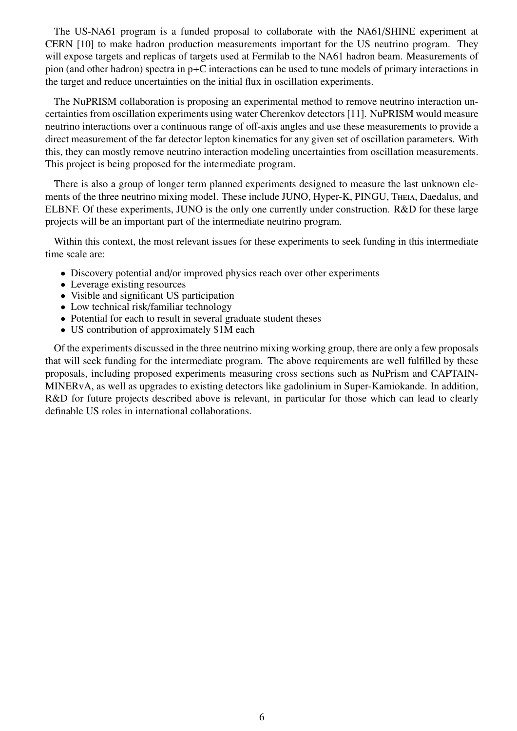The US-NA61 program is a funded proposal to collaborate with the NA61/SHINE experiment at CERN [\[10\]](#page-27-9) to make hadron production measurements important for the US neutrino program. They will expose targets and replicas of targets used at Fermilab to the NA61 hadron beam. Measurements of pion (and other hadron) spectra in p+C interactions can be used to tune models of primary interactions in the target and reduce uncertainties on the initial flux in oscillation experiments.

The NuPRISM collaboration is proposing an experimental method to remove neutrino interaction uncertainties from oscillation experiments using water Cherenkov detectors [\[11\]](#page-27-10). NuPRISM would measure neutrino interactions over a continuous range of off-axis angles and use these measurements to provide a direct measurement of the far detector lepton kinematics for any given set of oscillation parameters. With this, they can mostly remove neutrino interaction modeling uncertainties from oscillation measurements. This project is being proposed for the intermediate program.

There is also a group of longer term planned experiments designed to measure the last unknown elements of the three neutrino mixing model. These include JUNO, Hyper-K, PINGU, Theia, Daedalus, and ELBNF. Of these experiments, JUNO is the only one currently under construction. R&D for these large projects will be an important part of the intermediate neutrino program.

Within this context, the most relevant issues for these experiments to seek funding in this intermediate time scale are:

- Discovery potential and/or improved physics reach over other experiments
- Leverage existing resources
- Visible and significant US participation
- Low technical risk/familiar technology
- Potential for each to result in several graduate student theses
- US contribution of approximately \$1M each

Of the experiments discussed in the three neutrino mixing working group, there are only a few proposals that will seek funding for the intermediate program. The above requirements are well fulfilled by these proposals, including proposed experiments measuring cross sections such as NuPrism and CAPTAIN-MINERvA, as well as upgrades to existing detectors like gadolinium in Super-Kamiokande. In addition, R&D for future projects described above is relevant, in particular for those which can lead to clearly definable US roles in international collaborations.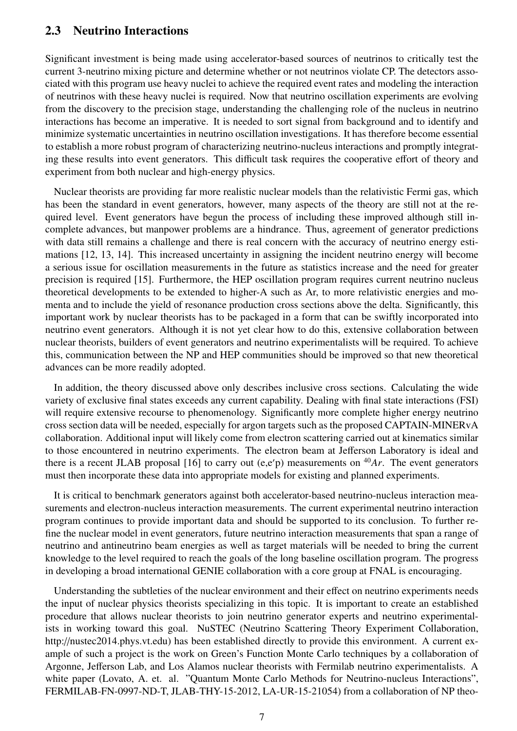## <span id="page-9-0"></span>2.3 Neutrino Interactions

Significant investment is being made using accelerator-based sources of neutrinos to critically test the current 3-neutrino mixing picture and determine whether or not neutrinos violate CP. The detectors associated with this program use heavy nuclei to achieve the required event rates and modeling the interaction of neutrinos with these heavy nuclei is required. Now that neutrino oscillation experiments are evolving from the discovery to the precision stage, understanding the challenging role of the nucleus in neutrino interactions has become an imperative. It is needed to sort signal from background and to identify and minimize systematic uncertainties in neutrino oscillation investigations. It has therefore become essential to establish a more robust program of characterizing neutrino-nucleus interactions and promptly integrating these results into event generators. This difficult task requires the cooperative effort of theory and experiment from both nuclear and high-energy physics.

Nuclear theorists are providing far more realistic nuclear models than the relativistic Fermi gas, which has been the standard in event generators, however, many aspects of the theory are still not at the required level. Event generators have begun the process of including these improved although still incomplete advances, but manpower problems are a hindrance. Thus, agreement of generator predictions with data still remains a challenge and there is real concern with the accuracy of neutrino energy estimations [\[12,](#page-27-11) [13,](#page-27-12) [14\]](#page-27-13). This increased uncertainty in assigning the incident neutrino energy will become a serious issue for oscillation measurements in the future as statistics increase and the need for greater precision is required [\[15\]](#page-27-14). Furthermore, the HEP oscillation program requires current neutrino nucleus theoretical developments to be extended to higher-A such as Ar, to more relativistic energies and momenta and to include the yield of resonance production cross sections above the delta. Significantly, this important work by nuclear theorists has to be packaged in a form that can be swiftly incorporated into neutrino event generators. Although it is not yet clear how to do this, extensive collaboration between nuclear theorists, builders of event generators and neutrino experimentalists will be required. To achieve this, communication between the NP and HEP communities should be improved so that new theoretical advances can be more readily adopted.

In addition, the theory discussed above only describes inclusive cross sections. Calculating the wide variety of exclusive final states exceeds any current capability. Dealing with final state interactions (FSI) will require extensive recourse to phenomenology. Significantly more complete higher energy neutrino cross section data will be needed, especially for argon targets such as the proposed CAPTAIN-MINERvA collaboration. Additional input will likely come from electron scattering carried out at kinematics similar to those encountered in neutrino experiments. The electron beam at Jefferson Laboratory is ideal and there is a recent JLAB proposal [\[16\]](#page-27-15) to carry out  $(e,e'p)$  measurements on <sup>40</sup>*Ar*. The event generators must then incorporate these data into appropriate models for existing and planned experiments.

It is critical to benchmark generators against both accelerator-based neutrino-nucleus interaction measurements and electron-nucleus interaction measurements. The current experimental neutrino interaction program continues to provide important data and should be supported to its conclusion. To further refine the nuclear model in event generators, future neutrino interaction measurements that span a range of neutrino and antineutrino beam energies as well as target materials will be needed to bring the current knowledge to the level required to reach the goals of the long baseline oscillation program. The progress in developing a broad international GENIE collaboration with a core group at FNAL is encouraging.

Understanding the subtleties of the nuclear environment and their effect on neutrino experiments needs the input of nuclear physics theorists specializing in this topic. It is important to create an established procedure that allows nuclear theorists to join neutrino generator experts and neutrino experimentalists in working toward this goal. NuSTEC (Neutrino Scattering Theory Experiment Collaboration, http://nustec2014.phys.vt.edu) has been established directly to provide this environment. A current example of such a project is the work on Green's Function Monte Carlo techniques by a collaboration of Argonne, Jefferson Lab, and Los Alamos nuclear theorists with Fermilab neutrino experimentalists. A white paper (Lovato, A. et. al. "Quantum Monte Carlo Methods for Neutrino-nucleus Interactions", FERMILAB-FN-0997-ND-T, JLAB-THY-15-2012, LA-UR-15-21054) from a collaboration of NP theo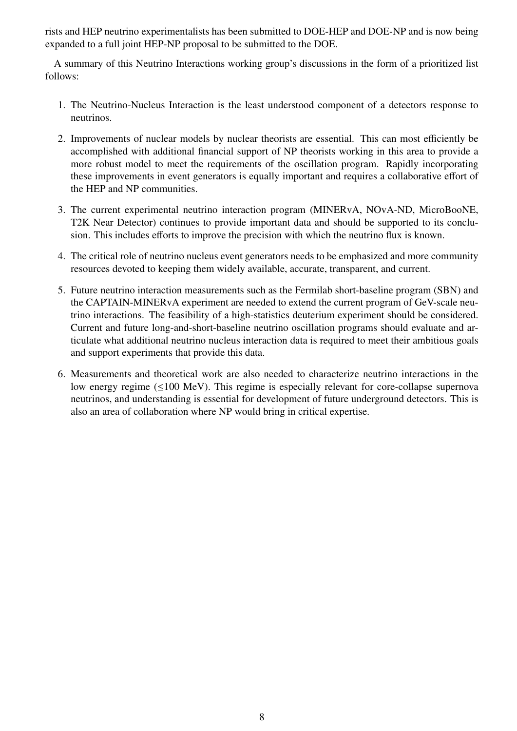rists and HEP neutrino experimentalists has been submitted to DOE-HEP and DOE-NP and is now being expanded to a full joint HEP-NP proposal to be submitted to the DOE.

A summary of this Neutrino Interactions working group's discussions in the form of a prioritized list follows:

- 1. The Neutrino-Nucleus Interaction is the least understood component of a detectors response to neutrinos.
- 2. Improvements of nuclear models by nuclear theorists are essential. This can most efficiently be accomplished with additional financial support of NP theorists working in this area to provide a more robust model to meet the requirements of the oscillation program. Rapidly incorporating these improvements in event generators is equally important and requires a collaborative effort of the HEP and NP communities.
- 3. The current experimental neutrino interaction program (MINERvA, NOvA-ND, MicroBooNE, T2K Near Detector) continues to provide important data and should be supported to its conclusion. This includes efforts to improve the precision with which the neutrino flux is known.
- 4. The critical role of neutrino nucleus event generators needs to be emphasized and more community resources devoted to keeping them widely available, accurate, transparent, and current.
- 5. Future neutrino interaction measurements such as the Fermilab short-baseline program (SBN) and the CAPTAIN-MINERvA experiment are needed to extend the current program of GeV-scale neutrino interactions. The feasibility of a high-statistics deuterium experiment should be considered. Current and future long-and-short-baseline neutrino oscillation programs should evaluate and articulate what additional neutrino nucleus interaction data is required to meet their ambitious goals and support experiments that provide this data.
- 6. Measurements and theoretical work are also needed to characterize neutrino interactions in the low energy regime (≤100 MeV). This regime is especially relevant for core-collapse supernova neutrinos, and understanding is essential for development of future underground detectors. This is also an area of collaboration where NP would bring in critical expertise.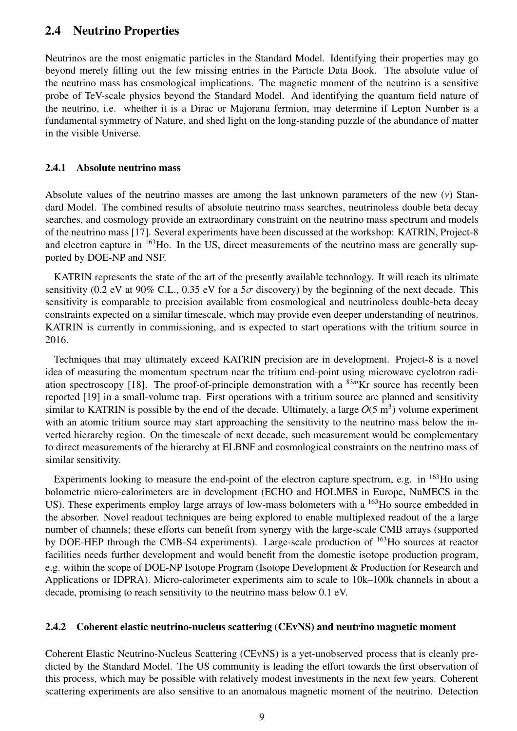## <span id="page-11-0"></span>2.4 Neutrino Properties

Neutrinos are the most enigmatic particles in the Standard Model. Identifying their properties may go beyond merely filling out the few missing entries in the Particle Data Book. The absolute value of the neutrino mass has cosmological implications. The magnetic moment of the neutrino is a sensitive probe of TeV-scale physics beyond the Standard Model. And identifying the quantum field nature of the neutrino, i.e. whether it is a Dirac or Majorana fermion, may determine if Lepton Number is a fundamental symmetry of Nature, and shed light on the long-standing puzzle of the abundance of matter in the visible Universe.

#### <span id="page-11-1"></span>2.4.1 Absolute neutrino mass

Absolute values of the neutrino masses are among the last unknown parameters of the new  $(v)$  Standard Model. The combined results of absolute neutrino mass searches, neutrinoless double beta decay searches, and cosmology provide an extraordinary constraint on the neutrino mass spectrum and models of the neutrino mass [\[17\]](#page-27-16). Several experiments have been discussed at the workshop: KATRIN, Project-8 and electron capture in <sup>163</sup>Ho. In the US, direct measurements of the neutrino mass are generally supported by DOE-NP and NSF.

KATRIN represents the state of the art of the presently available technology. It will reach its ultimate sensitivity (0.2 eV at 90% C.L., 0.35 eV for a  $5\sigma$  discovery) by the beginning of the next decade. This sensitivity is comparable to precision available from cosmological and neutrinoless double-beta decay constraints expected on a similar timescale, which may provide even deeper understanding of neutrinos. KATRIN is currently in commissioning, and is expected to start operations with the tritium source in 2016.

Techniques that may ultimately exceed KATRIN precision are in development. Project-8 is a novel idea of measuring the momentum spectrum near the tritium end-point using microwave cyclotron radi-ation spectroscopy [\[18\]](#page-27-17). The proof-of-principle demonstration with a <sup>83m</sup>Kr source has recently been reported [\[19\]](#page-27-18) in a small-volume trap. First operations with a tritium source are planned and sensitivity similar to KATRIN is possible by the end of the decade. Ultimately, a large  $O(5 \text{ m}^3)$  volume experiment with an atomic tritium source may start approaching the sensitivity to the neutrino mass below the inverted hierarchy region. On the timescale of next decade, such measurement would be complementary to direct measurements of the hierarchy at ELBNF and cosmological constraints on the neutrino mass of similar sensitivity.

Experiments looking to measure the end-point of the electron capture spectrum, e.g. in  $^{163}$ Ho using bolometric micro-calorimeters are in development (ECHO and HOLMES in Europe, NuMECS in the US). These experiments employ large arrays of low-mass bolometers with a <sup>163</sup>Ho source embedded in the absorber. Novel readout techniques are being explored to enable multiplexed readout of the a large number of channels; these efforts can benefit from synergy with the large-scale CMB arrays (supported by DOE-HEP through the CMB-S4 experiments). Large-scale production of <sup>163</sup>Ho sources at reactor facilities needs further development and would benefit from the domestic isotope production program, e.g. within the scope of DOE-NP Isotope Program (Isotope Development & Production for Research and Applications or IDPRA). Micro-calorimeter experiments aim to scale to 10k–100k channels in about a decade, promising to reach sensitivity to the neutrino mass below 0.1 eV.

#### <span id="page-11-2"></span>2.4.2 Coherent elastic neutrino-nucleus scattering (CEvNS) and neutrino magnetic moment

Coherent Elastic Neutrino-Nucleus Scattering (CEvNS) is a yet-unobserved process that is cleanly predicted by the Standard Model. The US community is leading the effort towards the first observation of this process, which may be possible with relatively modest investments in the next few years. Coherent scattering experiments are also sensitive to an anomalous magnetic moment of the neutrino. Detection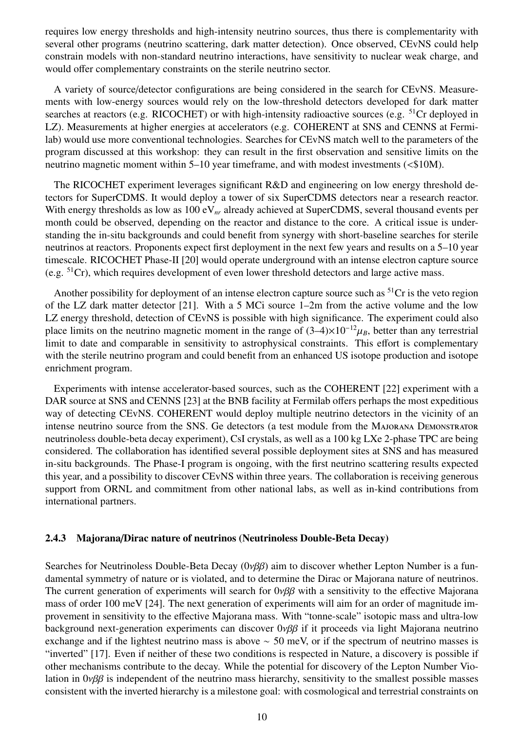requires low energy thresholds and high-intensity neutrino sources, thus there is complementarity with several other programs (neutrino scattering, dark matter detection). Once observed, CEvNS could help constrain models with non-standard neutrino interactions, have sensitivity to nuclear weak charge, and would offer complementary constraints on the sterile neutrino sector.

A variety of source/detector configurations are being considered in the search for CEvNS. Measurements with low-energy sources would rely on the low-threshold detectors developed for dark matter searches at reactors (e.g. RICOCHET) or with high-intensity radioactive sources (e.g. <sup>51</sup>Cr deployed in LZ). Measurements at higher energies at accelerators (e.g. COHERENT at SNS and CENNS at Fermilab) would use more conventional technologies. Searches for CEvNS match well to the parameters of the program discussed at this workshop: they can result in the first observation and sensitive limits on the neutrino magnetic moment within 5–10 year timeframe, and with modest investments (<\$10M).

The RICOCHET experiment leverages significant R&D and engineering on low energy threshold detectors for SuperCDMS. It would deploy a tower of six SuperCDMS detectors near a research reactor. With energy thresholds as low as 100 eV<sub>nr</sub> already achieved at SuperCDMS, several thousand events per month could be observed, depending on the reactor and distance to the core. A critical issue is understanding the in-situ backgrounds and could benefit from synergy with short-baseline searches for sterile neutrinos at reactors. Proponents expect first deployment in the next few years and results on a 5–10 year timescale. RICOCHET Phase-II [\[20\]](#page-27-19) would operate underground with an intense electron capture source (e.g.  ${}^{51}Cr$ ), which requires development of even lower threshold detectors and large active mass.

Another possibility for deployment of an intense electron capture source such as  ${}^{51}Cr$  is the veto region of the LZ dark matter detector [\[21\]](#page-28-0). With a 5 MCi source 1–2m from the active volume and the low LZ energy threshold, detection of CEvNS is possible with high significance. The experiment could also place limits on the neutrino magnetic moment in the range of  $(3-4)\times 10^{-12}\mu_B$ , better than any terrestrial limit to date and comparable in sensitivity to astrophysical constraints. This effort is complementary with the sterile neutrino program and could benefit from an enhanced US isotope production and isotope enrichment program.

Experiments with intense accelerator-based sources, such as the COHERENT [\[22\]](#page-28-1) experiment with a DAR source at SNS and CENNS [\[23\]](#page-28-2) at the BNB facility at Fermilab offers perhaps the most expeditious way of detecting CEvNS. COHERENT would deploy multiple neutrino detectors in the vicinity of an intense neutrino source from the SNS. Ge detectors (a test module from the Majorana Demonstrator neutrinoless double-beta decay experiment), CsI crystals, as well as a 100 kg LXe 2-phase TPC are being considered. The collaboration has identified several possible deployment sites at SNS and has measured in-situ backgrounds. The Phase-I program is ongoing, with the first neutrino scattering results expected this year, and a possibility to discover CEvNS within three years. The collaboration is receiving generous support from ORNL and commitment from other national labs, as well as in-kind contributions from international partners.

#### <span id="page-12-0"></span>2.4.3 Majorana/Dirac nature of neutrinos (Neutrinoless Double-Beta Decay)

Searches for Neutrinoless Double-Beta Decay  $(0\nu\beta\beta)$  aim to discover whether Lepton Number is a fundamental symmetry of nature or is violated, and to determine the Dirac or Majorana nature of neutrinos. The current generation of experiments will search for  $0\nu\beta\beta$  with a sensitivity to the effective Majorana mass of order 100 meV [\[24\]](#page-28-3). The next generation of experiments will aim for an order of magnitude improvement in sensitivity to the effective Majorana mass. With "tonne-scale" isotopic mass and ultra-low background next-generation experiments can discover  $0\nu\beta\beta$  if it proceeds via light Majorana neutrino exchange and if the lightest neutrino mass is above ∼ 50 meV, or if the spectrum of neutrino masses is "inverted" [\[17\]](#page-27-16). Even if neither of these two conditions is respected in Nature, a discovery is possible if other mechanisms contribute to the decay. While the potential for discovery of the Lepton Number Violation in  $0\nu\beta\beta$  is independent of the neutrino mass hierarchy, sensitivity to the smallest possible masses consistent with the inverted hierarchy is a milestone goal: with cosmological and terrestrial constraints on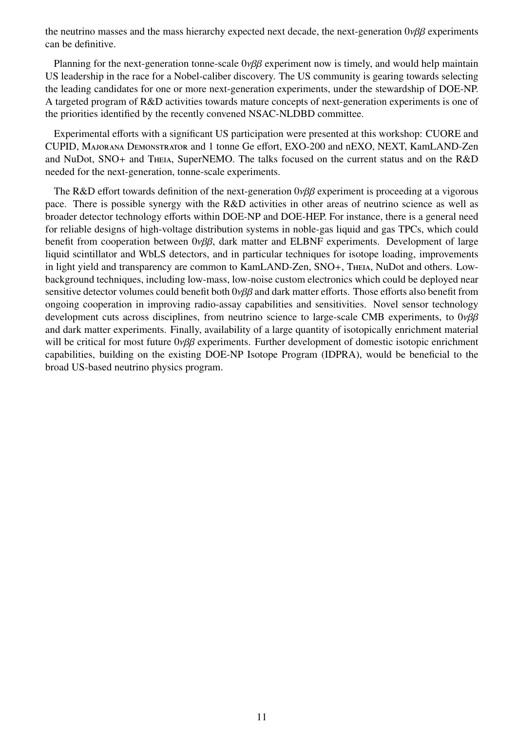the neutrino masses and the mass hierarchy expected next decade, the next-generation  $0\nu\beta\beta$  experiments can be definitive.

Planning for the next-generation tonne-scale 0νββ experiment now is timely, and would help maintain US leadership in the race for a Nobel-caliber discovery. The US community is gearing towards selecting the leading candidates for one or more next-generation experiments, under the stewardship of DOE-NP. A targeted program of R&D activities towards mature concepts of next-generation experiments is one of the priorities identified by the recently convened NSAC-NLDBD committee.

Experimental efforts with a significant US participation were presented at this workshop: CUORE and CUPID, Majorana Demonstrator and 1 tonne Ge effort, EXO-200 and nEXO, NEXT, KamLAND-Zen and NuDot, SNO+ and Theia, SuperNEMO. The talks focused on the current status and on the R&D needed for the next-generation, tonne-scale experiments.

The R&D effort towards definition of the next-generation  $0\nu\beta\beta$  experiment is proceeding at a vigorous pace. There is possible synergy with the R&D activities in other areas of neutrino science as well as broader detector technology efforts within DOE-NP and DOE-HEP. For instance, there is a general need for reliable designs of high-voltage distribution systems in noble-gas liquid and gas TPCs, which could benefit from cooperation between 0νββ, dark matter and ELBNF experiments. Development of large liquid scintillator and WbLS detectors, and in particular techniques for isotope loading, improvements in light yield and transparency are common to KamLAND-Zen, SNO+, Theia, NuDot and others. Lowbackground techniques, including low-mass, low-noise custom electronics which could be deployed near sensitive detector volumes could benefit both  $0\nu\beta\beta$  and dark matter efforts. Those efforts also benefit from ongoing cooperation in improving radio-assay capabilities and sensitivities. Novel sensor technology development cuts across disciplines, from neutrino science to large-scale CMB experiments, to  $0\nu\beta\beta$ and dark matter experiments. Finally, availability of a large quantity of isotopically enrichment material will be critical for most future 0νββ experiments. Further development of domestic isotopic enrichment capabilities, building on the existing DOE-NP Isotope Program (IDPRA), would be beneficial to the broad US-based neutrino physics program.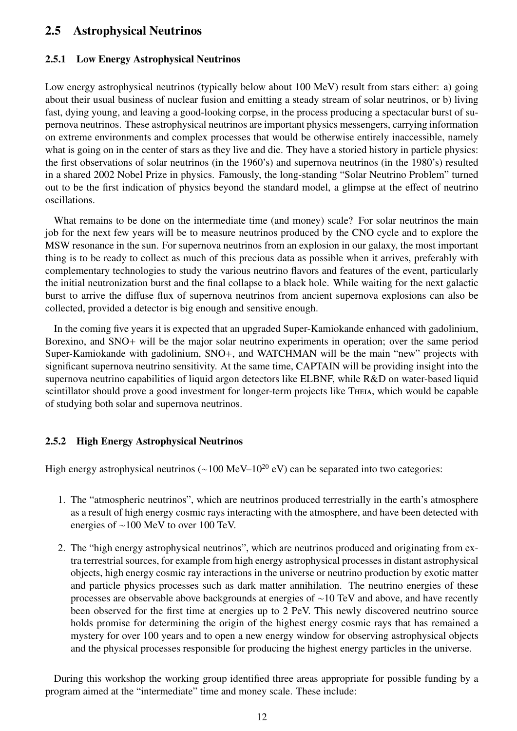## <span id="page-14-0"></span>2.5 Astrophysical Neutrinos

#### <span id="page-14-1"></span>2.5.1 Low Energy Astrophysical Neutrinos

Low energy astrophysical neutrinos (typically below about 100 MeV) result from stars either: a) going about their usual business of nuclear fusion and emitting a steady stream of solar neutrinos, or b) living fast, dying young, and leaving a good-looking corpse, in the process producing a spectacular burst of supernova neutrinos. These astrophysical neutrinos are important physics messengers, carrying information on extreme environments and complex processes that would be otherwise entirely inaccessible, namely what is going on in the center of stars as they live and die. They have a storied history in particle physics: the first observations of solar neutrinos (in the 1960's) and supernova neutrinos (in the 1980's) resulted in a shared 2002 Nobel Prize in physics. Famously, the long-standing "Solar Neutrino Problem" turned out to be the first indication of physics beyond the standard model, a glimpse at the effect of neutrino oscillations.

What remains to be done on the intermediate time (and money) scale? For solar neutrinos the main job for the next few years will be to measure neutrinos produced by the CNO cycle and to explore the MSW resonance in the sun. For supernova neutrinos from an explosion in our galaxy, the most important thing is to be ready to collect as much of this precious data as possible when it arrives, preferably with complementary technologies to study the various neutrino flavors and features of the event, particularly the initial neutronization burst and the final collapse to a black hole. While waiting for the next galactic burst to arrive the diffuse flux of supernova neutrinos from ancient supernova explosions can also be collected, provided a detector is big enough and sensitive enough.

In the coming five years it is expected that an upgraded Super-Kamiokande enhanced with gadolinium, Borexino, and SNO+ will be the major solar neutrino experiments in operation; over the same period Super-Kamiokande with gadolinium, SNO+, and WATCHMAN will be the main "new" projects with significant supernova neutrino sensitivity. At the same time, CAPTAIN will be providing insight into the supernova neutrino capabilities of liquid argon detectors like ELBNF, while R&D on water-based liquid scintillator should prove a good investment for longer-term projects like Theia, which would be capable of studying both solar and supernova neutrinos.

#### <span id="page-14-2"></span>2.5.2 High Energy Astrophysical Neutrinos

High energy astrophysical neutrinos ( $\sim$ 100 MeV–10<sup>20</sup> eV) can be separated into two categories:

- 1. The "atmospheric neutrinos", which are neutrinos produced terrestrially in the earth's atmosphere as a result of high energy cosmic rays interacting with the atmosphere, and have been detected with energies of ∼100 MeV to over 100 TeV.
- 2. The "high energy astrophysical neutrinos", which are neutrinos produced and originating from extra terrestrial sources, for example from high energy astrophysical processes in distant astrophysical objects, high energy cosmic ray interactions in the universe or neutrino production by exotic matter and particle physics processes such as dark matter annihilation. The neutrino energies of these processes are observable above backgrounds at energies of ∼10 TeV and above, and have recently been observed for the first time at energies up to 2 PeV. This newly discovered neutrino source holds promise for determining the origin of the highest energy cosmic rays that has remained a mystery for over 100 years and to open a new energy window for observing astrophysical objects and the physical processes responsible for producing the highest energy particles in the universe.

During this workshop the working group identified three areas appropriate for possible funding by a program aimed at the "intermediate" time and money scale. These include: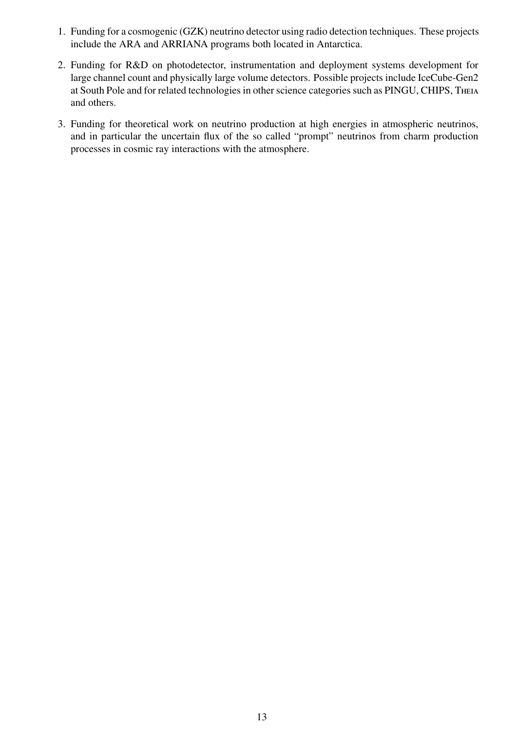- 1. Funding for a cosmogenic (GZK) neutrino detector using radio detection techniques. These projects include the ARA and ARRIANA programs both located in Antarctica.
- 2. Funding for R&D on photodetector, instrumentation and deployment systems development for large channel count and physically large volume detectors. Possible projects include IceCube-Gen2 at South Pole and for related technologies in other science categories such as PINGU, CHIPS, Theia and others.
- 3. Funding for theoretical work on neutrino production at high energies in atmospheric neutrinos, and in particular the uncertain flux of the so called "prompt" neutrinos from charm production processes in cosmic ray interactions with the atmosphere.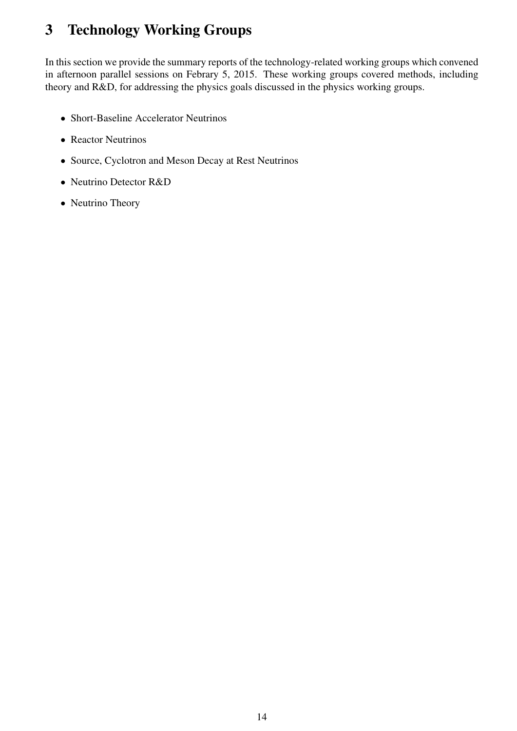## <span id="page-16-0"></span>3 Technology Working Groups

In this section we provide the summary reports of the technology-related working groups which convened in afternoon parallel sessions on Febrary 5, 2015. These working groups covered methods, including theory and R&D, for addressing the physics goals discussed in the physics working groups.

- Short-Baseline Accelerator Neutrinos
- Reactor Neutrinos
- Source, Cyclotron and Meson Decay at Rest Neutrinos
- Neutrino Detector R&D
- Neutrino Theory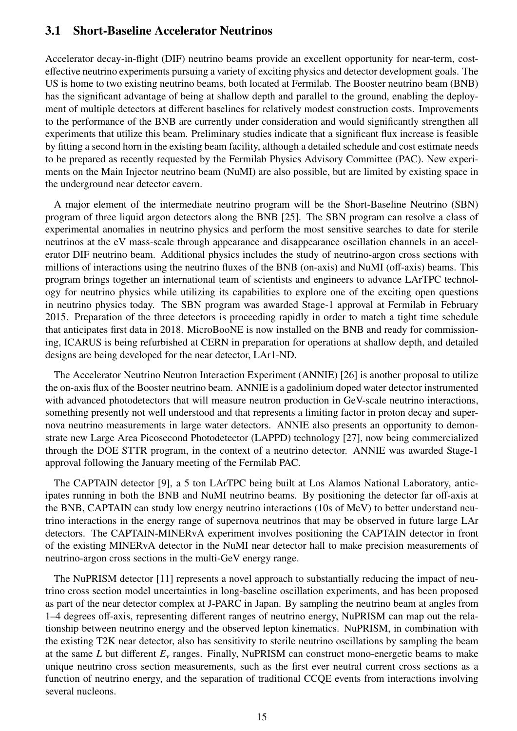## <span id="page-17-0"></span>3.1 Short-Baseline Accelerator Neutrinos

Accelerator decay-in-flight (DIF) neutrino beams provide an excellent opportunity for near-term, costeffective neutrino experiments pursuing a variety of exciting physics and detector development goals. The US is home to two existing neutrino beams, both located at Fermilab. The Booster neutrino beam (BNB) has the significant advantage of being at shallow depth and parallel to the ground, enabling the deployment of multiple detectors at different baselines for relatively modest construction costs. Improvements to the performance of the BNB are currently under consideration and would significantly strengthen all experiments that utilize this beam. Preliminary studies indicate that a significant flux increase is feasible by fitting a second horn in the existing beam facility, although a detailed schedule and cost estimate needs to be prepared as recently requested by the Fermilab Physics Advisory Committee (PAC). New experiments on the Main Injector neutrino beam (NuMI) are also possible, but are limited by existing space in the underground near detector cavern.

A major element of the intermediate neutrino program will be the Short-Baseline Neutrino (SBN) program of three liquid argon detectors along the BNB [\[25\]](#page-28-4). The SBN program can resolve a class of experimental anomalies in neutrino physics and perform the most sensitive searches to date for sterile neutrinos at the eV mass-scale through appearance and disappearance oscillation channels in an accelerator DIF neutrino beam. Additional physics includes the study of neutrino-argon cross sections with millions of interactions using the neutrino fluxes of the BNB (on-axis) and NuMI (off-axis) beams. This program brings together an international team of scientists and engineers to advance LArTPC technology for neutrino physics while utilizing its capabilities to explore one of the exciting open questions in neutrino physics today. The SBN program was awarded Stage-1 approval at Fermilab in February 2015. Preparation of the three detectors is proceeding rapidly in order to match a tight time schedule that anticipates first data in 2018. MicroBooNE is now installed on the BNB and ready for commissioning, ICARUS is being refurbished at CERN in preparation for operations at shallow depth, and detailed designs are being developed for the near detector, LAr1-ND.

The Accelerator Neutrino Neutron Interaction Experiment (ANNIE) [\[26\]](#page-28-5) is another proposal to utilize the on-axis flux of the Booster neutrino beam. ANNIE is a gadolinium doped water detector instrumented with advanced photodetectors that will measure neutron production in GeV-scale neutrino interactions, something presently not well understood and that represents a limiting factor in proton decay and supernova neutrino measurements in large water detectors. ANNIE also presents an opportunity to demonstrate new Large Area Picosecond Photodetector (LAPPD) technology [\[27\]](#page-28-6), now being commercialized through the DOE STTR program, in the context of a neutrino detector. ANNIE was awarded Stage-1 approval following the January meeting of the Fermilab PAC.

The CAPTAIN detector [\[9\]](#page-27-8), a 5 ton LArTPC being built at Los Alamos National Laboratory, anticipates running in both the BNB and NuMI neutrino beams. By positioning the detector far off-axis at the BNB, CAPTAIN can study low energy neutrino interactions (10s of MeV) to better understand neutrino interactions in the energy range of supernova neutrinos that may be observed in future large LAr detectors. The CAPTAIN-MINERvA experiment involves positioning the CAPTAIN detector in front of the existing MINERvA detector in the NuMI near detector hall to make precision measurements of neutrino-argon cross sections in the multi-GeV energy range.

The NuPRISM detector [\[11\]](#page-27-10) represents a novel approach to substantially reducing the impact of neutrino cross section model uncertainties in long-baseline oscillation experiments, and has been proposed as part of the near detector complex at J-PARC in Japan. By sampling the neutrino beam at angles from 1–4 degrees off-axis, representing different ranges of neutrino energy, NuPRISM can map out the relationship between neutrino energy and the observed lepton kinematics. NuPRISM, in combination with the existing T2K near detector, also has sensitivity to sterile neutrino oscillations by sampling the beam at the same *<sup>L</sup>* but different *<sup>E</sup>*ν ranges. Finally, NuPRISM can construct mono-energetic beams to make unique neutrino cross section measurements, such as the first ever neutral current cross sections as a function of neutrino energy, and the separation of traditional CCQE events from interactions involving several nucleons.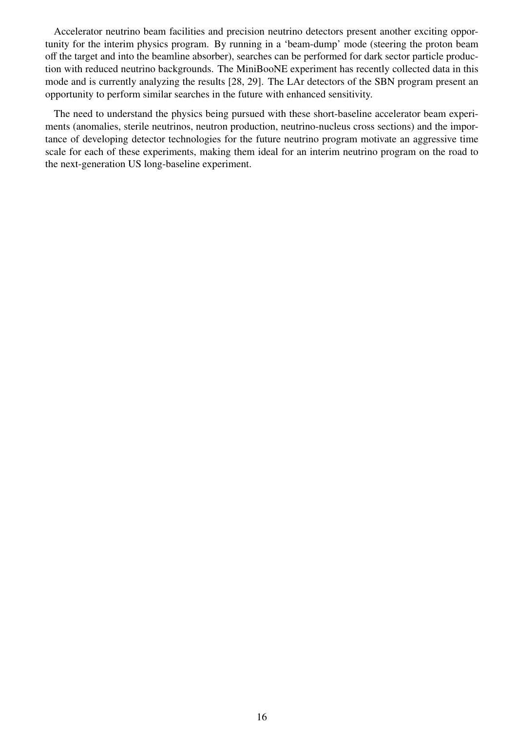Accelerator neutrino beam facilities and precision neutrino detectors present another exciting opportunity for the interim physics program. By running in a 'beam-dump' mode (steering the proton beam off the target and into the beamline absorber), searches can be performed for dark sector particle production with reduced neutrino backgrounds. The MiniBooNE experiment has recently collected data in this mode and is currently analyzing the results [\[28,](#page-28-7) [29\]](#page-28-8). The LAr detectors of the SBN program present an opportunity to perform similar searches in the future with enhanced sensitivity.

The need to understand the physics being pursued with these short-baseline accelerator beam experiments (anomalies, sterile neutrinos, neutron production, neutrino-nucleus cross sections) and the importance of developing detector technologies for the future neutrino program motivate an aggressive time scale for each of these experiments, making them ideal for an interim neutrino program on the road to the next-generation US long-baseline experiment.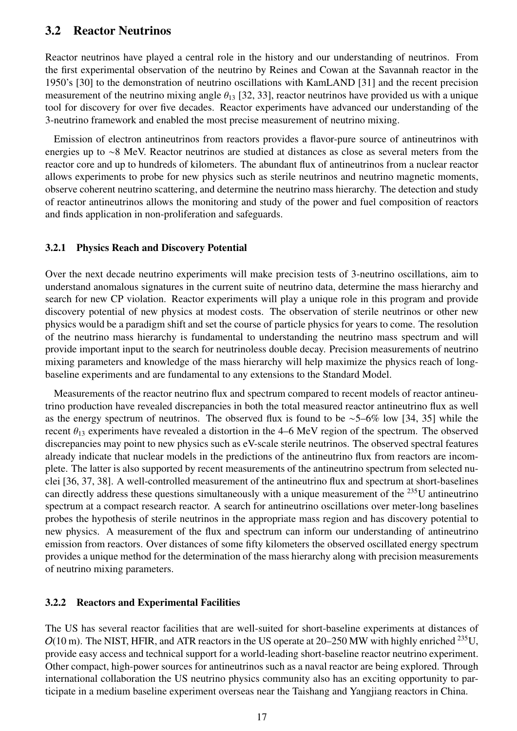## <span id="page-19-0"></span>3.2 Reactor Neutrinos

Reactor neutrinos have played a central role in the history and our understanding of neutrinos. From the first experimental observation of the neutrino by Reines and Cowan at the Savannah reactor in the 1950's [\[30\]](#page-28-9) to the demonstration of neutrino oscillations with KamLAND [\[31\]](#page-28-10) and the recent precision measurement of the neutrino mixing angle  $\theta_{13}$  [\[32,](#page-28-11) [33\]](#page-28-12), reactor neutrinos have provided us with a unique tool for discovery for over five decades. Reactor experiments have advanced our understanding of the 3-neutrino framework and enabled the most precise measurement of neutrino mixing.

Emission of electron antineutrinos from reactors provides a flavor-pure source of antineutrinos with energies up to ∼8 MeV. Reactor neutrinos are studied at distances as close as several meters from the reactor core and up to hundreds of kilometers. The abundant flux of antineutrinos from a nuclear reactor allows experiments to probe for new physics such as sterile neutrinos and neutrino magnetic moments, observe coherent neutrino scattering, and determine the neutrino mass hierarchy. The detection and study of reactor antineutrinos allows the monitoring and study of the power and fuel composition of reactors and finds application in non-proliferation and safeguards.

#### <span id="page-19-1"></span>3.2.1 Physics Reach and Discovery Potential

Over the next decade neutrino experiments will make precision tests of 3-neutrino oscillations, aim to understand anomalous signatures in the current suite of neutrino data, determine the mass hierarchy and search for new CP violation. Reactor experiments will play a unique role in this program and provide discovery potential of new physics at modest costs. The observation of sterile neutrinos or other new physics would be a paradigm shift and set the course of particle physics for years to come. The resolution of the neutrino mass hierarchy is fundamental to understanding the neutrino mass spectrum and will provide important input to the search for neutrinoless double decay. Precision measurements of neutrino mixing parameters and knowledge of the mass hierarchy will help maximize the physics reach of longbaseline experiments and are fundamental to any extensions to the Standard Model.

Measurements of the reactor neutrino flux and spectrum compared to recent models of reactor antineutrino production have revealed discrepancies in both the total measured reactor antineutrino flux as well as the energy spectrum of neutrinos. The observed flux is found to be ∼5–6% low [\[34,](#page-28-13) [35\]](#page-28-14) while the recent  $\theta_{13}$  experiments have revealed a distortion in the 4–6 MeV region of the spectrum. The observed discrepancies may point to new physics such as eV-scale sterile neutrinos. The observed spectral features already indicate that nuclear models in the predictions of the antineutrino flux from reactors are incomplete. The latter is also supported by recent measurements of the antineutrino spectrum from selected nuclei [\[36,](#page-28-15) [37,](#page-28-16) [38\]](#page-28-17). A well-controlled measurement of the antineutrino flux and spectrum at short-baselines can directly address these questions simultaneously with a unique measurement of the <sup>235</sup>U antineutrino spectrum at a compact research reactor. A search for antineutrino oscillations over meter-long baselines probes the hypothesis of sterile neutrinos in the appropriate mass region and has discovery potential to new physics. A measurement of the flux and spectrum can inform our understanding of antineutrino emission from reactors. Over distances of some fifty kilometers the observed oscillated energy spectrum provides a unique method for the determination of the mass hierarchy along with precision measurements of neutrino mixing parameters.

#### <span id="page-19-2"></span>3.2.2 Reactors and Experimental Facilities

The US has several reactor facilities that are well-suited for short-baseline experiments at distances of  $O(10 \text{ m})$ . The NIST, HFIR, and ATR reactors in the US operate at 20–250 MW with highly enriched <sup>235</sup>U, provide easy access and technical support for a world-leading short-baseline reactor neutrino experiment. Other compact, high-power sources for antineutrinos such as a naval reactor are being explored. Through international collaboration the US neutrino physics community also has an exciting opportunity to participate in a medium baseline experiment overseas near the Taishang and Yangjiang reactors in China.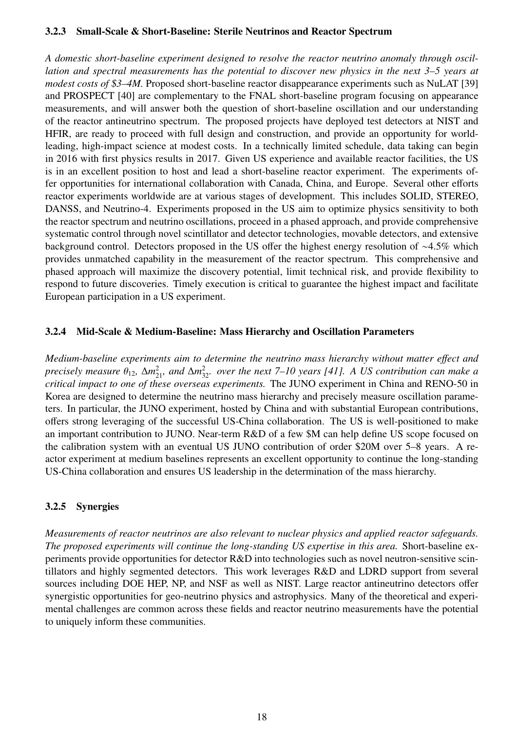#### <span id="page-20-0"></span>3.2.3 Small-Scale & Short-Baseline: Sterile Neutrinos and Reactor Spectrum

*A domestic short-baseline experiment designed to resolve the reactor neutrino anomaly through oscillation and spectral measurements has the potential to discover new physics in the next 3–5 years at modest costs of \$3–4M.* Proposed short-baseline reactor disappearance experiments such as NuLAT [\[39\]](#page-28-18) and PROSPECT [\[40\]](#page-28-19) are complementary to the FNAL short-baseline program focusing on appearance measurements, and will answer both the question of short-baseline oscillation and our understanding of the reactor antineutrino spectrum. The proposed projects have deployed test detectors at NIST and HFIR, are ready to proceed with full design and construction, and provide an opportunity for worldleading, high-impact science at modest costs. In a technically limited schedule, data taking can begin in 2016 with first physics results in 2017. Given US experience and available reactor facilities, the US is in an excellent position to host and lead a short-baseline reactor experiment. The experiments offer opportunities for international collaboration with Canada, China, and Europe. Several other efforts reactor experiments worldwide are at various stages of development. This includes SOLID, STEREO, DANSS, and Neutrino-4. Experiments proposed in the US aim to optimize physics sensitivity to both the reactor spectrum and neutrino oscillations, proceed in a phased approach, and provide comprehensive systematic control through novel scintillator and detector technologies, movable detectors, and extensive background control. Detectors proposed in the US offer the highest energy resolution of ∼4.5% which provides unmatched capability in the measurement of the reactor spectrum. This comprehensive and phased approach will maximize the discovery potential, limit technical risk, and provide flexibility to respond to future discoveries. Timely execution is critical to guarantee the highest impact and facilitate European participation in a US experiment.

#### <span id="page-20-1"></span>3.2.4 Mid-Scale & Medium-Baseline: Mass Hierarchy and Oscillation Parameters

*Medium-baseline experiments aim to determine the neutrino mass hierarchy without matter e*ff*ect and precisely measure*  $\theta_{12}$ ,  $\Delta m_{21}^2$ , and  $\Delta m_{32}^2$ , over the next 7–10 years [\[41\]](#page-28-20). A US contribution can make a<br>critical impact to one of these overseas experiments. The HINO experiment in China and RENO-50 in *critical impact to one of these overseas experiments.* The JUNO experiment in China and RENO-50 in Korea are designed to determine the neutrino mass hierarchy and precisely measure oscillation parameters. In particular, the JUNO experiment, hosted by China and with substantial European contributions, offers strong leveraging of the successful US-China collaboration. The US is well-positioned to make an important contribution to JUNO. Near-term R&D of a few \$M can help define US scope focused on the calibration system with an eventual US JUNO contribution of order \$20M over 5–8 years. A reactor experiment at medium baselines represents an excellent opportunity to continue the long-standing US-China collaboration and ensures US leadership in the determination of the mass hierarchy.

#### <span id="page-20-2"></span>3.2.5 Synergies

*Measurements of reactor neutrinos are also relevant to nuclear physics and applied reactor safeguards. The proposed experiments will continue the long-standing US expertise in this area.* Short-baseline experiments provide opportunities for detector R&D into technologies such as novel neutron-sensitive scintillators and highly segmented detectors. This work leverages R&D and LDRD support from several sources including DOE HEP, NP, and NSF as well as NIST. Large reactor antineutrino detectors offer synergistic opportunities for geo-neutrino physics and astrophysics. Many of the theoretical and experimental challenges are common across these fields and reactor neutrino measurements have the potential to uniquely inform these communities.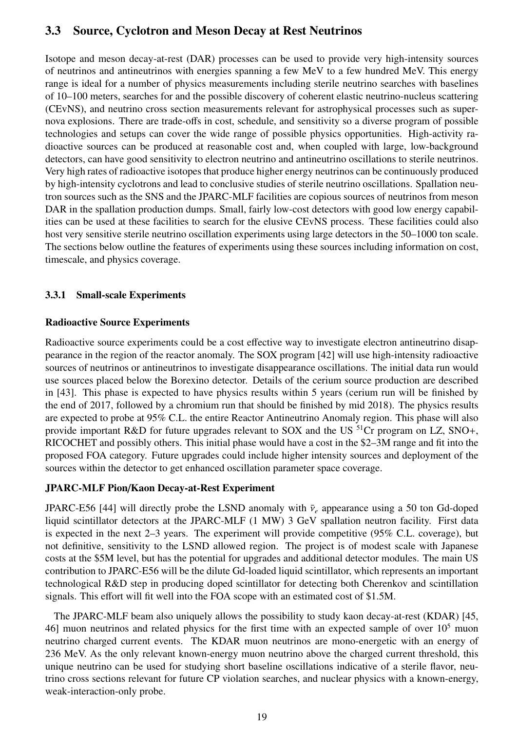## <span id="page-21-0"></span>3.3 Source, Cyclotron and Meson Decay at Rest Neutrinos

Isotope and meson decay-at-rest (DAR) processes can be used to provide very high-intensity sources of neutrinos and antineutrinos with energies spanning a few MeV to a few hundred MeV. This energy range is ideal for a number of physics measurements including sterile neutrino searches with baselines of 10–100 meters, searches for and the possible discovery of coherent elastic neutrino-nucleus scattering (CEvNS), and neutrino cross section measurements relevant for astrophysical processes such as supernova explosions. There are trade-offs in cost, schedule, and sensitivity so a diverse program of possible technologies and setups can cover the wide range of possible physics opportunities. High-activity radioactive sources can be produced at reasonable cost and, when coupled with large, low-background detectors, can have good sensitivity to electron neutrino and antineutrino oscillations to sterile neutrinos. Very high rates of radioactive isotopes that produce higher energy neutrinos can be continuously produced by high-intensity cyclotrons and lead to conclusive studies of sterile neutrino oscillations. Spallation neutron sources such as the SNS and the JPARC-MLF facilities are copious sources of neutrinos from meson DAR in the spallation production dumps. Small, fairly low-cost detectors with good low energy capabilities can be used at these facilities to search for the elusive CEvNS process. These facilities could also host very sensitive sterile neutrino oscillation experiments using large detectors in the 50–1000 ton scale. The sections below outline the features of experiments using these sources including information on cost, timescale, and physics coverage.

## <span id="page-21-1"></span>3.3.1 Small-scale Experiments

## Radioactive Source Experiments

Radioactive source experiments could be a cost effective way to investigate electron antineutrino disappearance in the region of the reactor anomaly. The SOX program [\[42\]](#page-29-0) will use high-intensity radioactive sources of neutrinos or antineutrinos to investigate disappearance oscillations. The initial data run would use sources placed below the Borexino detector. Details of the cerium source production are described in [\[43\]](#page-29-1). This phase is expected to have physics results within 5 years (cerium run will be finished by the end of 2017, followed by a chromium run that should be finished by mid 2018). The physics results are expected to probe at 95% C.L. the entire Reactor Antineutrino Anomaly region. This phase will also provide important R&D for future upgrades relevant to SOX and the US  ${}^{51}Cr$  program on LZ, SNO+, RICOCHET and possibly others. This initial phase would have a cost in the \$2–3M range and fit into the proposed FOA category. Future upgrades could include higher intensity sources and deployment of the sources within the detector to get enhanced oscillation parameter space coverage.

## JPARC-MLF Pion/Kaon Decay-at-Rest Experiment

JPARC-E56 [\[44\]](#page-29-2) will directly probe the LSND anomaly with  $\bar{v}_e$  appearance using a 50 ton Gd-doped liquid scintillator detectors at the JPARC-MLF (1 MW) 3 GeV spallation neutron facility. First data is expected in the next 2–3 years. The experiment will provide competitive (95% C.L. coverage), but not definitive, sensitivity to the LSND allowed region. The project is of modest scale with Japanese costs at the \$5M level, but has the potential for upgrades and additional detector modules. The main US contribution to JPARC-E56 will be the dilute Gd-loaded liquid scintillator, which represents an important technological R&D step in producing doped scintillator for detecting both Cherenkov and scintillation signals. This effort will fit well into the FOA scope with an estimated cost of \$1.5M.

The JPARC-MLF beam also uniquely allows the possibility to study kaon decay-at-rest (KDAR) [\[45,](#page-29-3) [46\]](#page-29-4) muon neutrinos and related physics for the first time with an expected sample of over  $10<sup>5</sup>$  muon neutrino charged current events. The KDAR muon neutrinos are mono-energetic with an energy of 236 MeV. As the only relevant known-energy muon neutrino above the charged current threshold, this unique neutrino can be used for studying short baseline oscillations indicative of a sterile flavor, neutrino cross sections relevant for future CP violation searches, and nuclear physics with a known-energy, weak-interaction-only probe.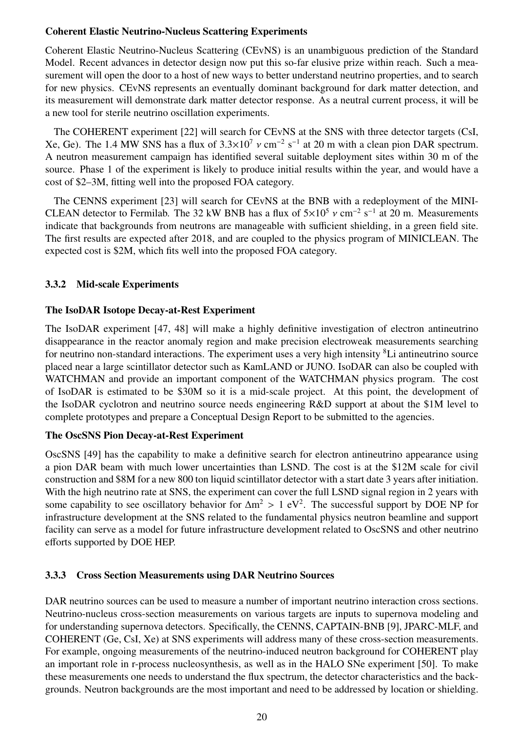### Coherent Elastic Neutrino-Nucleus Scattering Experiments

Coherent Elastic Neutrino-Nucleus Scattering (CEvNS) is an unambiguous prediction of the Standard Model. Recent advances in detector design now put this so-far elusive prize within reach. Such a measurement will open the door to a host of new ways to better understand neutrino properties, and to search for new physics. CEvNS represents an eventually dominant background for dark matter detection, and its measurement will demonstrate dark matter detector response. As a neutral current process, it will be a new tool for sterile neutrino oscillation experiments.

The COHERENT experiment [\[22\]](#page-28-1) will search for CEvNS at the SNS with three detector targets (CsI, Xe, Ge). The 1.4 MW SNS has a flux of  $3.3 \times 10^7$  v cm<sup>-2</sup> s<sup>-1</sup> at 20 m with a clean pion DAR spectrum.<br>A neutron measurement campaign has identified several suitable deployment sites within 30 m of the A neutron measurement campaign has identified several suitable deployment sites within 30 m of the source. Phase 1 of the experiment is likely to produce initial results within the year, and would have a cost of \$2–3M, fitting well into the proposed FOA category.

The CENNS experiment [\[23\]](#page-28-2) will search for CEvNS at the BNB with a redeployment of the MINI-CLEAN detector to Fermilab. The 32 kW BNB has a flux of  $5\times10^5$  v cm<sup>-2</sup> s<sup>-1</sup> at 20 m. Measurements<br>indicate that backgrounds from neutrons are manageable with sufficient shielding, in a green field site indicate that backgrounds from neutrons are manageable with sufficient shielding, in a green field site. The first results are expected after 2018, and are coupled to the physics program of MINICLEAN. The expected cost is \$2M, which fits well into the proposed FOA category.

### <span id="page-22-0"></span>3.3.2 Mid-scale Experiments

### The IsoDAR Isotope Decay-at-Rest Experiment

The IsoDAR experiment [\[47,](#page-29-5) [48\]](#page-29-6) will make a highly definitive investigation of electron antineutrino disappearance in the reactor anomaly region and make precision electroweak measurements searching for neutrino non-standard interactions. The experiment uses a very high intensity <sup>8</sup>Li antineutrino source placed near a large scintillator detector such as KamLAND or JUNO. IsoDAR can also be coupled with WATCHMAN and provide an important component of the WATCHMAN physics program. The cost of IsoDAR is estimated to be \$30M so it is a mid-scale project. At this point, the development of the IsoDAR cyclotron and neutrino source needs engineering R&D support at about the \$1M level to complete prototypes and prepare a Conceptual Design Report to be submitted to the agencies.

## The OscSNS Pion Decay-at-Rest Experiment

OscSNS [\[49\]](#page-29-7) has the capability to make a definitive search for electron antineutrino appearance using a pion DAR beam with much lower uncertainties than LSND. The cost is at the \$12M scale for civil construction and \$8M for a new 800 ton liquid scintillator detector with a start date 3 years after initiation. With the high neutrino rate at SNS, the experiment can cover the full LSND signal region in 2 years with some capability to see oscillatory behavior for  $\Delta m^2 > 1$  eV<sup>2</sup>. The successful support by DOE NP for infrastructure development at the SNS related to the fundamental physics neutron beamline and support infrastructure development at the SNS related to the fundamental physics neutron beamline and support facility can serve as a model for future infrastructure development related to OscSNS and other neutrino efforts supported by DOE HEP.

## <span id="page-22-1"></span>3.3.3 Cross Section Measurements using DAR Neutrino Sources

DAR neutrino sources can be used to measure a number of important neutrino interaction cross sections. Neutrino-nucleus cross-section measurements on various targets are inputs to supernova modeling and for understanding supernova detectors. Specifically, the CENNS, CAPTAIN-BNB [\[9\]](#page-27-8), JPARC-MLF, and COHERENT (Ge, CsI, Xe) at SNS experiments will address many of these cross-section measurements. For example, ongoing measurements of the neutrino-induced neutron background for COHERENT play an important role in r-process nucleosynthesis, as well as in the HALO SNe experiment [\[50\]](#page-29-8). To make these measurements one needs to understand the flux spectrum, the detector characteristics and the backgrounds. Neutron backgrounds are the most important and need to be addressed by location or shielding.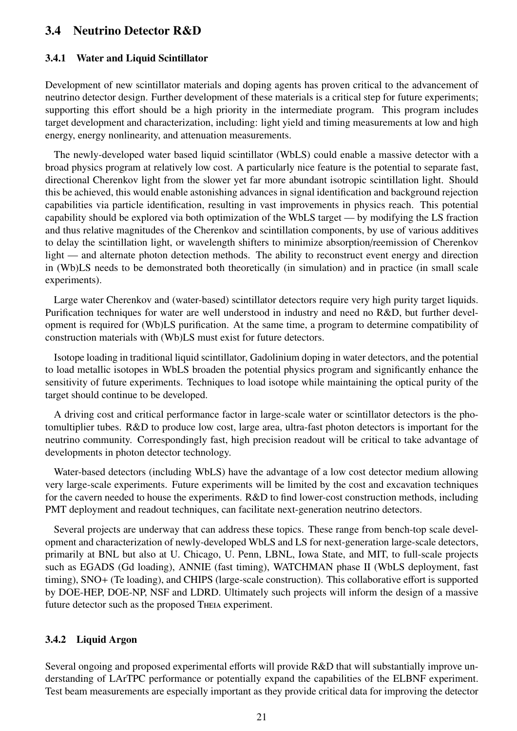## <span id="page-23-0"></span>3.4 Neutrino Detector R&D

#### <span id="page-23-1"></span>3.4.1 Water and Liquid Scintillator

Development of new scintillator materials and doping agents has proven critical to the advancement of neutrino detector design. Further development of these materials is a critical step for future experiments; supporting this effort should be a high priority in the intermediate program. This program includes target development and characterization, including: light yield and timing measurements at low and high energy, energy nonlinearity, and attenuation measurements.

The newly-developed water based liquid scintillator (WbLS) could enable a massive detector with a broad physics program at relatively low cost. A particularly nice feature is the potential to separate fast, directional Cherenkov light from the slower yet far more abundant isotropic scintillation light. Should this be achieved, this would enable astonishing advances in signal identification and background rejection capabilities via particle identification, resulting in vast improvements in physics reach. This potential capability should be explored via both optimization of the WbLS target — by modifying the LS fraction and thus relative magnitudes of the Cherenkov and scintillation components, by use of various additives to delay the scintillation light, or wavelength shifters to minimize absorption/reemission of Cherenkov light — and alternate photon detection methods. The ability to reconstruct event energy and direction in (Wb)LS needs to be demonstrated both theoretically (in simulation) and in practice (in small scale experiments).

Large water Cherenkov and (water-based) scintillator detectors require very high purity target liquids. Purification techniques for water are well understood in industry and need no R&D, but further development is required for (Wb)LS purification. At the same time, a program to determine compatibility of construction materials with (Wb)LS must exist for future detectors.

Isotope loading in traditional liquid scintillator, Gadolinium doping in water detectors, and the potential to load metallic isotopes in WbLS broaden the potential physics program and significantly enhance the sensitivity of future experiments. Techniques to load isotope while maintaining the optical purity of the target should continue to be developed.

A driving cost and critical performance factor in large-scale water or scintillator detectors is the photomultiplier tubes. R&D to produce low cost, large area, ultra-fast photon detectors is important for the neutrino community. Correspondingly fast, high precision readout will be critical to take advantage of developments in photon detector technology.

Water-based detectors (including WbLS) have the advantage of a low cost detector medium allowing very large-scale experiments. Future experiments will be limited by the cost and excavation techniques for the cavern needed to house the experiments. R&D to find lower-cost construction methods, including PMT deployment and readout techniques, can facilitate next-generation neutrino detectors.

Several projects are underway that can address these topics. These range from bench-top scale development and characterization of newly-developed WbLS and LS for next-generation large-scale detectors, primarily at BNL but also at U. Chicago, U. Penn, LBNL, Iowa State, and MIT, to full-scale projects such as EGADS (Gd loading), ANNIE (fast timing), WATCHMAN phase II (WbLS deployment, fast timing), SNO+ (Te loading), and CHIPS (large-scale construction). This collaborative effort is supported by DOE-HEP, DOE-NP, NSF and LDRD. Ultimately such projects will inform the design of a massive future detector such as the proposed Theia experiment.

#### <span id="page-23-2"></span>3.4.2 Liquid Argon

Several ongoing and proposed experimental efforts will provide R&D that will substantially improve understanding of LArTPC performance or potentially expand the capabilities of the ELBNF experiment. Test beam measurements are especially important as they provide critical data for improving the detector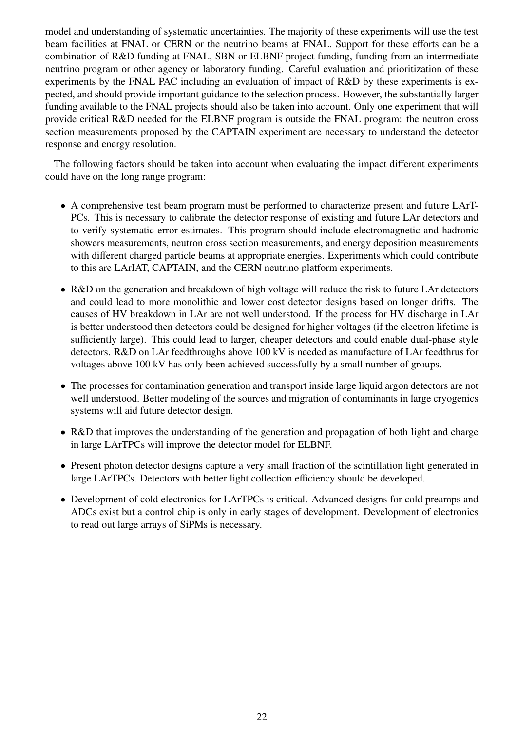model and understanding of systematic uncertainties. The majority of these experiments will use the test beam facilities at FNAL or CERN or the neutrino beams at FNAL. Support for these efforts can be a combination of R&D funding at FNAL, SBN or ELBNF project funding, funding from an intermediate neutrino program or other agency or laboratory funding. Careful evaluation and prioritization of these experiments by the FNAL PAC including an evaluation of impact of R&D by these experiments is expected, and should provide important guidance to the selection process. However, the substantially larger funding available to the FNAL projects should also be taken into account. Only one experiment that will provide critical R&D needed for the ELBNF program is outside the FNAL program: the neutron cross section measurements proposed by the CAPTAIN experiment are necessary to understand the detector response and energy resolution.

The following factors should be taken into account when evaluating the impact different experiments could have on the long range program:

- A comprehensive test beam program must be performed to characterize present and future LArT-PCs. This is necessary to calibrate the detector response of existing and future LAr detectors and to verify systematic error estimates. This program should include electromagnetic and hadronic showers measurements, neutron cross section measurements, and energy deposition measurements with different charged particle beams at appropriate energies. Experiments which could contribute to this are LArIAT, CAPTAIN, and the CERN neutrino platform experiments.
- R&D on the generation and breakdown of high voltage will reduce the risk to future LAr detectors and could lead to more monolithic and lower cost detector designs based on longer drifts. The causes of HV breakdown in LAr are not well understood. If the process for HV discharge in LAr is better understood then detectors could be designed for higher voltages (if the electron lifetime is sufficiently large). This could lead to larger, cheaper detectors and could enable dual-phase style detectors. R&D on LAr feedthroughs above 100 kV is needed as manufacture of LAr feedthrus for voltages above 100 kV has only been achieved successfully by a small number of groups.
- The processes for contamination generation and transport inside large liquid argon detectors are not well understood. Better modeling of the sources and migration of contaminants in large cryogenics systems will aid future detector design.
- R&D that improves the understanding of the generation and propagation of both light and charge in large LArTPCs will improve the detector model for ELBNF.
- Present photon detector designs capture a very small fraction of the scintillation light generated in large LArTPCs. Detectors with better light collection efficiency should be developed.
- Development of cold electronics for LArTPCs is critical. Advanced designs for cold preamps and ADCs exist but a control chip is only in early stages of development. Development of electronics to read out large arrays of SiPMs is necessary.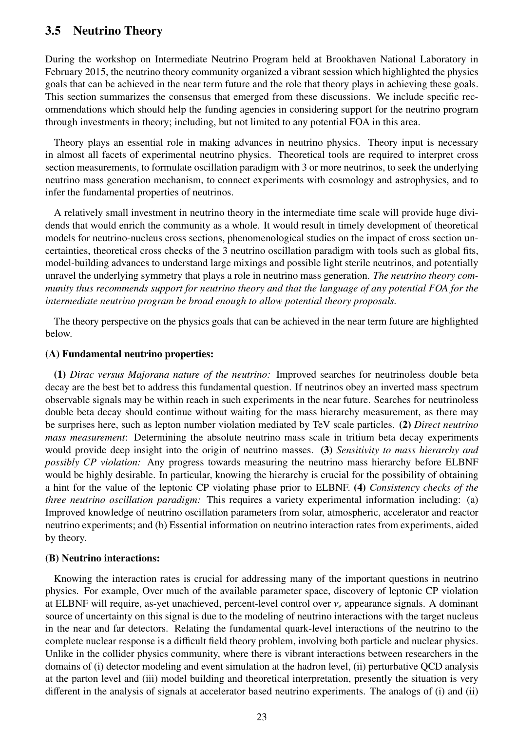## <span id="page-25-0"></span>3.5 Neutrino Theory

During the workshop on Intermediate Neutrino Program held at Brookhaven National Laboratory in February 2015, the neutrino theory community organized a vibrant session which highlighted the physics goals that can be achieved in the near term future and the role that theory plays in achieving these goals. This section summarizes the consensus that emerged from these discussions. We include specific recommendations which should help the funding agencies in considering support for the neutrino program through investments in theory; including, but not limited to any potential FOA in this area.

Theory plays an essential role in making advances in neutrino physics. Theory input is necessary in almost all facets of experimental neutrino physics. Theoretical tools are required to interpret cross section measurements, to formulate oscillation paradigm with 3 or more neutrinos, to seek the underlying neutrino mass generation mechanism, to connect experiments with cosmology and astrophysics, and to infer the fundamental properties of neutrinos.

A relatively small investment in neutrino theory in the intermediate time scale will provide huge dividends that would enrich the community as a whole. It would result in timely development of theoretical models for neutrino-nucleus cross sections, phenomenological studies on the impact of cross section uncertainties, theoretical cross checks of the 3 neutrino oscillation paradigm with tools such as global fits, model-building advances to understand large mixings and possible light sterile neutrinos, and potentially unravel the underlying symmetry that plays a role in neutrino mass generation. *The neutrino theory community thus recommends support for neutrino theory and that the language of any potential FOA for the intermediate neutrino program be broad enough to allow potential theory proposals.*

The theory perspective on the physics goals that can be achieved in the near term future are highlighted below.

#### (A) Fundamental neutrino properties:

(1) *Dirac versus Majorana nature of the neutrino:* Improved searches for neutrinoless double beta decay are the best bet to address this fundamental question. If neutrinos obey an inverted mass spectrum observable signals may be within reach in such experiments in the near future. Searches for neutrinoless double beta decay should continue without waiting for the mass hierarchy measurement, as there may be surprises here, such as lepton number violation mediated by TeV scale particles. (2) *Direct neutrino mass measurement*: Determining the absolute neutrino mass scale in tritium beta decay experiments would provide deep insight into the origin of neutrino masses. (3) *Sensitivity to mass hierarchy and possibly CP violation:* Any progress towards measuring the neutrino mass hierarchy before ELBNF would be highly desirable. In particular, knowing the hierarchy is crucial for the possibility of obtaining a hint for the value of the leptonic CP violating phase prior to ELBNF. (4) *Consistency checks of the three neutrino oscillation paradigm:* This requires a variety experimental information including: (a) Improved knowledge of neutrino oscillation parameters from solar, atmospheric, accelerator and reactor neutrino experiments; and (b) Essential information on neutrino interaction rates from experiments, aided by theory.

#### (B) Neutrino interactions:

Knowing the interaction rates is crucial for addressing many of the important questions in neutrino physics. For example, Over much of the available parameter space, discovery of leptonic CP violation at ELBNF will require, as-yet unachieved, percent-level control over <sup>ν</sup>*<sup>e</sup>* appearance signals. A dominant source of uncertainty on this signal is due to the modeling of neutrino interactions with the target nucleus in the near and far detectors. Relating the fundamental quark-level interactions of the neutrino to the complete nuclear response is a difficult field theory problem, involving both particle and nuclear physics. Unlike in the collider physics community, where there is vibrant interactions between researchers in the domains of (i) detector modeling and event simulation at the hadron level, (ii) perturbative QCD analysis at the parton level and (iii) model building and theoretical interpretation, presently the situation is very different in the analysis of signals at accelerator based neutrino experiments. The analogs of (i) and (ii)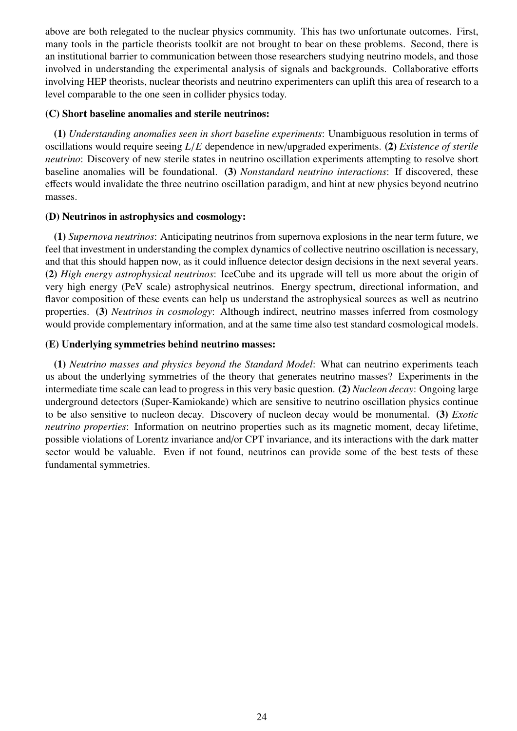above are both relegated to the nuclear physics community. This has two unfortunate outcomes. First, many tools in the particle theorists toolkit are not brought to bear on these problems. Second, there is an institutional barrier to communication between those researchers studying neutrino models, and those involved in understanding the experimental analysis of signals and backgrounds. Collaborative efforts involving HEP theorists, nuclear theorists and neutrino experimenters can uplift this area of research to a level comparable to the one seen in collider physics today.

#### (C) Short baseline anomalies and sterile neutrinos:

(1) *Understanding anomalies seen in short baseline experiments*: Unambiguous resolution in terms of oscillations would require seeing *<sup>L</sup>*/*<sup>E</sup>* dependence in new/upgraded experiments. (2) *Existence of sterile neutrino*: Discovery of new sterile states in neutrino oscillation experiments attempting to resolve short baseline anomalies will be foundational. (3) *Nonstandard neutrino interactions*: If discovered, these effects would invalidate the three neutrino oscillation paradigm, and hint at new physics beyond neutrino masses.

#### (D) Neutrinos in astrophysics and cosmology:

(1) *Supernova neutrinos*: Anticipating neutrinos from supernova explosions in the near term future, we feel that investment in understanding the complex dynamics of collective neutrino oscillation is necessary, and that this should happen now, as it could influence detector design decisions in the next several years. (2) *High energy astrophysical neutrinos*: IceCube and its upgrade will tell us more about the origin of very high energy (PeV scale) astrophysical neutrinos. Energy spectrum, directional information, and flavor composition of these events can help us understand the astrophysical sources as well as neutrino properties. (3) *Neutrinos in cosmology*: Although indirect, neutrino masses inferred from cosmology would provide complementary information, and at the same time also test standard cosmological models.

#### (E) Underlying symmetries behind neutrino masses:

(1) *Neutrino masses and physics beyond the Standard Model*: What can neutrino experiments teach us about the underlying symmetries of the theory that generates neutrino masses? Experiments in the intermediate time scale can lead to progress in this very basic question. (2) *Nucleon decay*: Ongoing large underground detectors (Super-Kamiokande) which are sensitive to neutrino oscillation physics continue to be also sensitive to nucleon decay. Discovery of nucleon decay would be monumental. (3) *Exotic neutrino properties*: Information on neutrino properties such as its magnetic moment, decay lifetime, possible violations of Lorentz invariance and/or CPT invariance, and its interactions with the dark matter sector would be valuable. Even if not found, neutrinos can provide some of the best tests of these fundamental symmetries.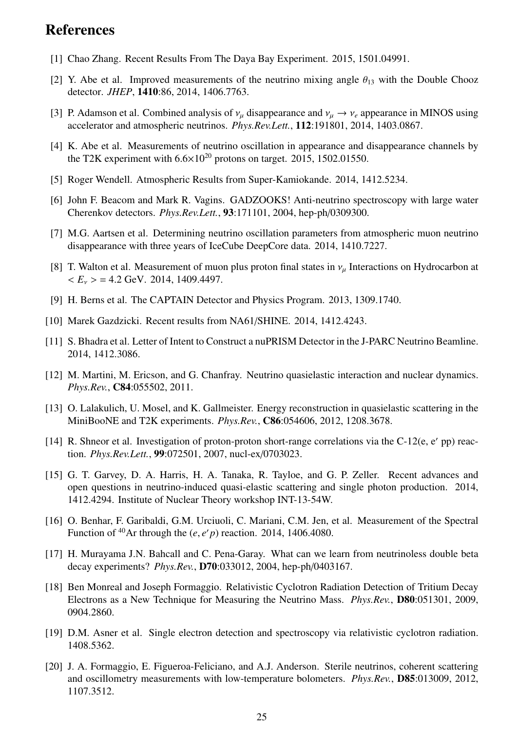## References

- <span id="page-27-0"></span>[1] Chao Zhang. Recent Results From The Daya Bay Experiment. 2015, 1501.04991.
- <span id="page-27-1"></span>[2] Y. Abe et al. Improved measurements of the neutrino mixing angle  $\theta_{13}$  with the Double Chooz detector. *JHEP*, 1410:86, 2014, 1406.7763.
- <span id="page-27-2"></span>[3] P. Adamson et al. Combined analysis of  $v_\mu$  disappearance and  $v_\mu \to v_e$  appearance in MINOS using accelerator and atmospheric neutrinos. *Phys.Rev.Lett.*, 112:191801, 2014, 1403.0867.
- <span id="page-27-3"></span>[4] K. Abe et al. Measurements of neutrino oscillation in appearance and disappearance channels by the T2K experiment with  $6.6 \times 10^{20}$  protons on target. 2015, 1502.01550.
- <span id="page-27-4"></span>[5] Roger Wendell. Atmospheric Results from Super-Kamiokande. 2014, 1412.5234.
- <span id="page-27-5"></span>[6] John F. Beacom and Mark R. Vagins. GADZOOKS! Anti-neutrino spectroscopy with large water Cherenkov detectors. *Phys.Rev.Lett.*, 93:171101, 2004, hep-ph/0309300.
- <span id="page-27-6"></span>[7] M.G. Aartsen et al. Determining neutrino oscillation parameters from atmospheric muon neutrino disappearance with three years of IceCube DeepCore data. 2014, 1410.7227.
- <span id="page-27-7"></span>[8] T. Walton et al. Measurement of muon plus proton final states in  $v_\mu$  Interactions on Hydrocarbon at  $\langle E_\nu \rangle = 4.2$  GeV. 2014, 1409.4497.
- <span id="page-27-8"></span>[9] H. Berns et al. The CAPTAIN Detector and Physics Program. 2013, 1309.1740.
- <span id="page-27-9"></span>[10] Marek Gazdzicki. Recent results from NA61/SHINE. 2014, 1412.4243.
- <span id="page-27-10"></span>[11] S. Bhadra et al. Letter of Intent to Construct a nuPRISM Detector in the J-PARC Neutrino Beamline. 2014, 1412.3086.
- <span id="page-27-11"></span>[12] M. Martini, M. Ericson, and G. Chanfray. Neutrino quasielastic interaction and nuclear dynamics. *Phys.Rev.*, C84:055502, 2011.
- <span id="page-27-12"></span>[13] O. Lalakulich, U. Mosel, and K. Gallmeister. Energy reconstruction in quasielastic scattering in the MiniBooNE and T2K experiments. *Phys.Rev.*, C86:054606, 2012, 1208.3678.
- <span id="page-27-13"></span>[14] R. Shneor et al. Investigation of proton-proton short-range correlations via the C-12(e, e' pp) reaction. *Phys.Rev.Lett.*, 99:072501, 2007, nucl-ex/0703023.
- <span id="page-27-14"></span>[15] G. T. Garvey, D. A. Harris, H. A. Tanaka, R. Tayloe, and G. P. Zeller. Recent advances and open questions in neutrino-induced quasi-elastic scattering and single photon production. 2014, 1412.4294. Institute of Nuclear Theory workshop INT-13-54W.
- <span id="page-27-15"></span>[16] O. Benhar, F. Garibaldi, G.M. Urciuoli, C. Mariani, C.M. Jen, et al. Measurement of the Spectral Function of <sup>40</sup>Ar through the  $(e, e'p)$  reaction. 2014, 1406.4080.
- <span id="page-27-16"></span>[17] H. Murayama J.N. Bahcall and C. Pena-Garay. What can we learn from neutrinoless double beta decay experiments? *Phys.Rev.*, D70:033012, 2004, hep-ph/0403167.
- <span id="page-27-17"></span>[18] Ben Monreal and Joseph Formaggio. Relativistic Cyclotron Radiation Detection of Tritium Decay Electrons as a New Technique for Measuring the Neutrino Mass. *Phys.Rev.*, D80:051301, 2009, 0904.2860.
- <span id="page-27-18"></span>[19] D.M. Asner et al. Single electron detection and spectroscopy via relativistic cyclotron radiation. 1408.5362.
- <span id="page-27-19"></span>[20] J. A. Formaggio, E. Figueroa-Feliciano, and A.J. Anderson. Sterile neutrinos, coherent scattering and oscillometry measurements with low-temperature bolometers. *Phys.Rev.*, D85:013009, 2012, 1107.3512.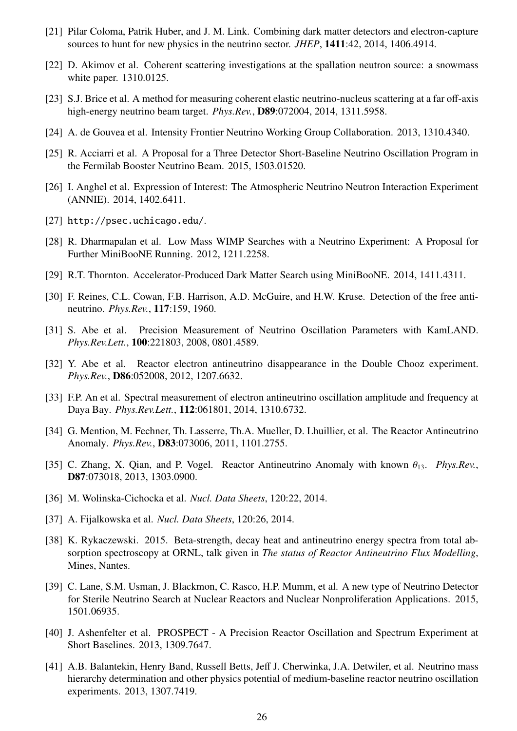- <span id="page-28-0"></span>[21] Pilar Coloma, Patrik Huber, and J. M. Link. Combining dark matter detectors and electron-capture sources to hunt for new physics in the neutrino sector. *JHEP*, 1411:42, 2014, 1406.4914.
- <span id="page-28-1"></span>[22] D. Akimov et al. Coherent scattering investigations at the spallation neutron source: a snowmass white paper. 1310.0125.
- <span id="page-28-2"></span>[23] S.J. Brice et al. A method for measuring coherent elastic neutrino-nucleus scattering at a far off-axis high-energy neutrino beam target. *Phys.Rev.*, D89:072004, 2014, 1311.5958.
- <span id="page-28-3"></span>[24] A. de Gouvea et al. Intensity Frontier Neutrino Working Group Collaboration. 2013, 1310.4340.
- <span id="page-28-4"></span>[25] R. Acciarri et al. A Proposal for a Three Detector Short-Baseline Neutrino Oscillation Program in the Fermilab Booster Neutrino Beam. 2015, 1503.01520.
- <span id="page-28-5"></span>[26] I. Anghel et al. Expression of Interest: The Atmospheric Neutrino Neutron Interaction Experiment (ANNIE). 2014, 1402.6411.
- <span id="page-28-6"></span>[27] <http://psec.uchicago.edu/>.
- <span id="page-28-7"></span>[28] R. Dharmapalan et al. Low Mass WIMP Searches with a Neutrino Experiment: A Proposal for Further MiniBooNE Running. 2012, 1211.2258.
- <span id="page-28-8"></span>[29] R.T. Thornton. Accelerator-Produced Dark Matter Search using MiniBooNE. 2014, 1411.4311.
- <span id="page-28-9"></span>[30] F. Reines, C.L. Cowan, F.B. Harrison, A.D. McGuire, and H.W. Kruse. Detection of the free antineutrino. *Phys.Rev.*, 117:159, 1960.
- <span id="page-28-10"></span>[31] S. Abe et al. Precision Measurement of Neutrino Oscillation Parameters with KamLAND. *Phys.Rev.Lett.*, 100:221803, 2008, 0801.4589.
- <span id="page-28-11"></span>[32] Y. Abe et al. Reactor electron antineutrino disappearance in the Double Chooz experiment. *Phys.Rev.*, D86:052008, 2012, 1207.6632.
- <span id="page-28-12"></span>[33] F.P. An et al. Spectral measurement of electron antineutrino oscillation amplitude and frequency at Daya Bay. *Phys.Rev.Lett.*, 112:061801, 2014, 1310.6732.
- <span id="page-28-13"></span>[34] G. Mention, M. Fechner, Th. Lasserre, Th.A. Mueller, D. Lhuillier, et al. The Reactor Antineutrino Anomaly. *Phys.Rev.*, D83:073006, 2011, 1101.2755.
- <span id="page-28-14"></span>[35] C. Zhang, X. Qian, and P. Vogel. Reactor Antineutrino Anomaly with known  $\theta_{13}$ . *Phys.Rev.*, D87:073018, 2013, 1303.0900.
- <span id="page-28-15"></span>[36] M. Wolinska-Cichocka et al. *Nucl. Data Sheets*, 120:22, 2014.
- <span id="page-28-16"></span>[37] A. Fijalkowska et al. *Nucl. Data Sheets*, 120:26, 2014.
- <span id="page-28-17"></span>[38] K. Rykaczewski. 2015. Beta-strength, decay heat and antineutrino energy spectra from total absorption spectroscopy at ORNL, talk given in *The status of Reactor Antineutrino Flux Modelling*, Mines, Nantes.
- <span id="page-28-18"></span>[39] C. Lane, S.M. Usman, J. Blackmon, C. Rasco, H.P. Mumm, et al. A new type of Neutrino Detector for Sterile Neutrino Search at Nuclear Reactors and Nuclear Nonproliferation Applications. 2015, 1501.06935.
- <span id="page-28-19"></span>[40] J. Ashenfelter et al. PROSPECT - A Precision Reactor Oscillation and Spectrum Experiment at Short Baselines. 2013, 1309.7647.
- <span id="page-28-20"></span>[41] A.B. Balantekin, Henry Band, Russell Betts, Jeff J. Cherwinka, J.A. Detwiler, et al. Neutrino mass hierarchy determination and other physics potential of medium-baseline reactor neutrino oscillation experiments. 2013, 1307.7419.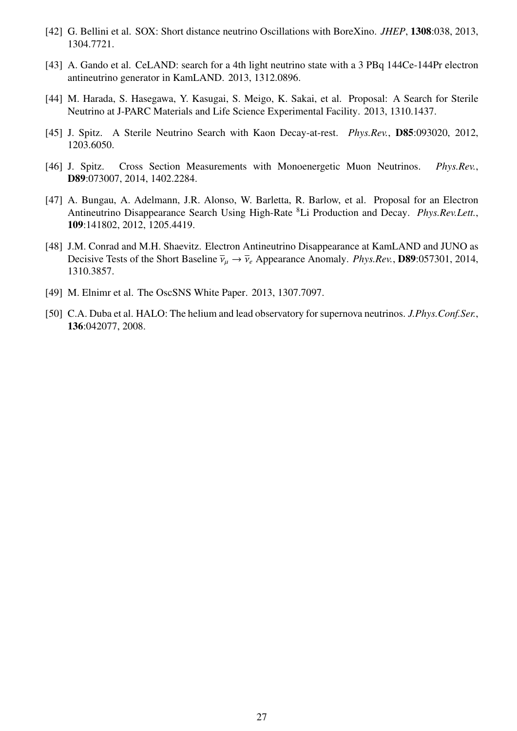- <span id="page-29-0"></span>[42] G. Bellini et al. SOX: Short distance neutrino Oscillations with BoreXino. *JHEP*, 1308:038, 2013, 1304.7721.
- <span id="page-29-1"></span>[43] A. Gando et al. CeLAND: search for a 4th light neutrino state with a 3 PBq 144Ce-144Pr electron antineutrino generator in KamLAND. 2013, 1312.0896.
- <span id="page-29-2"></span>[44] M. Harada, S. Hasegawa, Y. Kasugai, S. Meigo, K. Sakai, et al. Proposal: A Search for Sterile Neutrino at J-PARC Materials and Life Science Experimental Facility. 2013, 1310.1437.
- <span id="page-29-3"></span>[45] J. Spitz. A Sterile Neutrino Search with Kaon Decay-at-rest. *Phys.Rev.*, D85:093020, 2012, 1203.6050.
- <span id="page-29-4"></span>[46] J. Spitz. Cross Section Measurements with Monoenergetic Muon Neutrinos. *Phys.Rev.*, D89:073007, 2014, 1402.2284.
- <span id="page-29-5"></span>[47] A. Bungau, A. Adelmann, J.R. Alonso, W. Barletta, R. Barlow, et al. Proposal for an Electron Antineutrino Disappearance Search Using High-Rate <sup>8</sup>Li Production and Decay. *Phys.Rev.Lett.*, 109:141802, 2012, 1205.4419.
- <span id="page-29-6"></span>[48] J.M. Conrad and M.H. Shaevitz. Electron Antineutrino Disappearance at KamLAND and JUNO as Decisive Tests of the Short Baseline  $\bar{v}_\mu \to \bar{v}_e$  Appearance Anomaly. *Phys.Rev.*, **D89**:057301, 2014, 1310.3857.
- <span id="page-29-7"></span>[49] M. Elnimr et al. The OscSNS White Paper. 2013, 1307.7097.
- <span id="page-29-8"></span>[50] C.A. Duba et al. HALO: The helium and lead observatory for supernova neutrinos. *J.Phys.Conf.Ser.*, 136:042077, 2008.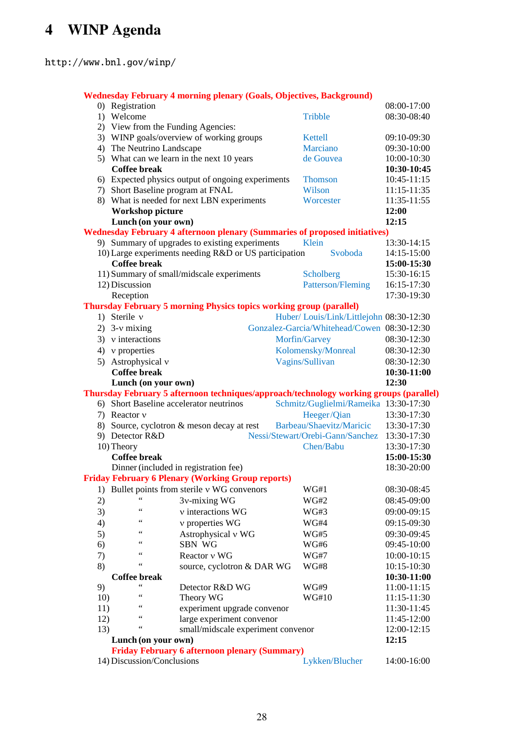# <span id="page-30-0"></span>4 WINP Agenda

<http://www.bnl.gov/winp/>

|                                                                                        | <b>Wednesday February 4 morning plenary (Goals, Objectives, Background)</b> |                                                                                   |                 |                                              |                            |  |  |  |  |  |
|----------------------------------------------------------------------------------------|-----------------------------------------------------------------------------|-----------------------------------------------------------------------------------|-----------------|----------------------------------------------|----------------------------|--|--|--|--|--|
|                                                                                        | 0) Registration                                                             |                                                                                   |                 |                                              | 08:00-17:00                |  |  |  |  |  |
|                                                                                        | 1) Welcome                                                                  |                                                                                   |                 | Tribble                                      | 08:30-08:40                |  |  |  |  |  |
|                                                                                        | 2) View from the Funding Agencies:                                          |                                                                                   |                 |                                              |                            |  |  |  |  |  |
|                                                                                        |                                                                             | 3) WINP goals/overview of working groups                                          |                 | Kettell                                      | 09:10-09:30                |  |  |  |  |  |
|                                                                                        | 4) The Neutrino Landscape                                                   |                                                                                   |                 | Marciano                                     | 09:30-10:00                |  |  |  |  |  |
|                                                                                        |                                                                             | 5) What can we learn in the next 10 years                                         |                 | de Gouvea                                    | 10:00-10:30                |  |  |  |  |  |
|                                                                                        | <b>Coffee break</b>                                                         |                                                                                   |                 |                                              | 10:30-10:45                |  |  |  |  |  |
|                                                                                        |                                                                             | 6) Expected physics output of ongoing experiments                                 |                 | <b>Thomson</b>                               | 10:45-11:15                |  |  |  |  |  |
|                                                                                        | 7) Short Baseline program at FNAL                                           |                                                                                   |                 | Wilson                                       | 11:15-11:35                |  |  |  |  |  |
|                                                                                        |                                                                             | 8) What is needed for next LBN experiments                                        |                 | Worcester                                    | 11:35-11:55                |  |  |  |  |  |
|                                                                                        | Workshop picture                                                            |                                                                                   |                 |                                              | 12:00                      |  |  |  |  |  |
|                                                                                        | Lunch (on your own)                                                         |                                                                                   |                 |                                              | 12:15                      |  |  |  |  |  |
|                                                                                        |                                                                             | <b>Wednesday February 4 afternoon plenary (Summaries of proposed initiatives)</b> |                 |                                              |                            |  |  |  |  |  |
|                                                                                        |                                                                             | 9) Summary of upgrades to existing experiments                                    |                 | Klein                                        | 13:30-14:15                |  |  |  |  |  |
|                                                                                        |                                                                             | 10) Large experiments needing R&D or US participation                             |                 | Svoboda                                      | 14:15-15:00                |  |  |  |  |  |
|                                                                                        | <b>Coffee break</b>                                                         |                                                                                   |                 |                                              | 15:00-15:30                |  |  |  |  |  |
|                                                                                        |                                                                             | 11) Summary of small/midscale experiments                                         |                 | Scholberg                                    | 15:30-16:15                |  |  |  |  |  |
|                                                                                        | 12) Discussion                                                              |                                                                                   |                 | Patterson/Fleming                            | 16:15-17:30                |  |  |  |  |  |
|                                                                                        | Reception                                                                   |                                                                                   |                 |                                              | 17:30-19:30                |  |  |  |  |  |
|                                                                                        |                                                                             | <b>Thursday February 5 morning Physics topics working group (parallel)</b>        |                 |                                              |                            |  |  |  |  |  |
|                                                                                        | 1) Sterile v                                                                |                                                                                   |                 | Huber/Louis/Link/Littlejohn 08:30-12:30      |                            |  |  |  |  |  |
|                                                                                        | 2) $3-v$ mixing                                                             |                                                                                   |                 | Gonzalez-Garcia/Whitehead/Cowen 08:30-12:30  |                            |  |  |  |  |  |
|                                                                                        | $3)$ v interactions                                                         |                                                                                   | Morfin/Garvey   |                                              | 08:30-12:30                |  |  |  |  |  |
|                                                                                        | 4) $v$ properties                                                           |                                                                                   |                 | Kolomensky/Monreal                           | 08:30-12:30                |  |  |  |  |  |
|                                                                                        | 5) Astrophysical v                                                          |                                                                                   | Vagins/Sullivan |                                              | 08:30-12:30                |  |  |  |  |  |
|                                                                                        | <b>Coffee break</b>                                                         |                                                                                   |                 |                                              | 10:30-11:00                |  |  |  |  |  |
|                                                                                        | Lunch (on your own)                                                         |                                                                                   |                 |                                              | 12:30                      |  |  |  |  |  |
| Thursday February 5 afternoon techniques/approach/technology working groups (parallel) |                                                                             |                                                                                   |                 |                                              |                            |  |  |  |  |  |
|                                                                                        |                                                                             |                                                                                   |                 |                                              |                            |  |  |  |  |  |
|                                                                                        | 6) Short Baseline accelerator neutrinos                                     |                                                                                   |                 | Schmitz/Guglielmi/Rameika 13:30-17:30        |                            |  |  |  |  |  |
|                                                                                        | 7) Reactor v                                                                |                                                                                   |                 | Heeger/Qian                                  | 13:30-17:30                |  |  |  |  |  |
|                                                                                        |                                                                             | 8) Source, cyclotron & meson decay at rest                                        |                 | Barbeau/Shaevitz/Maricic                     | 13:30-17:30                |  |  |  |  |  |
|                                                                                        | 9) Detector R&D                                                             |                                                                                   |                 | Nessi/Stewart/Orebi-Gann/Sanchez 13:30-17:30 |                            |  |  |  |  |  |
|                                                                                        | 10) Theory                                                                  |                                                                                   |                 | Chen/Babu                                    | 13:30-17:30                |  |  |  |  |  |
|                                                                                        | <b>Coffee break</b>                                                         |                                                                                   |                 |                                              | 15:00-15:30                |  |  |  |  |  |
|                                                                                        |                                                                             | Dinner (included in registration fee)                                             |                 |                                              | 18:30-20:00                |  |  |  |  |  |
|                                                                                        |                                                                             | <b>Friday February 6 Plenary (Working Group reports)</b>                          |                 |                                              |                            |  |  |  |  |  |
| 1)                                                                                     |                                                                             | Bullet points from sterile v WG convenors                                         |                 | WG#1                                         | 08:30-08:45                |  |  |  |  |  |
| 2)                                                                                     |                                                                             | 3v-mixing WG                                                                      |                 | WG#2                                         | 08:45-09:00                |  |  |  |  |  |
|                                                                                        | 66                                                                          | v interactions WG                                                                 |                 | WG#3                                         | 09:00-09:15                |  |  |  |  |  |
| 3)                                                                                     | 66                                                                          |                                                                                   |                 |                                              |                            |  |  |  |  |  |
| 4)                                                                                     | 66                                                                          | v properties WG                                                                   |                 | WG#4                                         | 09:15-09:30                |  |  |  |  |  |
| 5)                                                                                     | 66                                                                          | Astrophysical v WG                                                                |                 | <b>WG#5</b>                                  | 09:30-09:45                |  |  |  |  |  |
| 6)                                                                                     | 66                                                                          | SBN WG                                                                            |                 | WG#6                                         | 09:45-10:00                |  |  |  |  |  |
| 7)                                                                                     | $\epsilon$                                                                  | Reactor v WG                                                                      |                 | <b>WG#7</b>                                  | 10:00-10:15                |  |  |  |  |  |
| 8)                                                                                     |                                                                             | source, cyclotron & DAR WG                                                        |                 | WG#8                                         | 10:15-10:30                |  |  |  |  |  |
|                                                                                        | Coffee break<br>$\zeta\,\zeta$                                              | Detector R&D WG                                                                   |                 | WG#9                                         | 10:30-11:00                |  |  |  |  |  |
| 9)                                                                                     | 66                                                                          |                                                                                   |                 | <b>WG#10</b>                                 | 11:00-11:15                |  |  |  |  |  |
| 10)                                                                                    |                                                                             | Theory WG                                                                         |                 |                                              | 11:15-11:30                |  |  |  |  |  |
| 11)                                                                                    | 66                                                                          | experiment upgrade convenor                                                       |                 |                                              | 11:30-11:45<br>11:45-12:00 |  |  |  |  |  |
| 12)<br>13)                                                                             | 66                                                                          | large experiment convenor                                                         |                 |                                              | 12:00-12:15                |  |  |  |  |  |
|                                                                                        | Lunch (on your own)                                                         | small/midscale experiment convenor                                                |                 |                                              | 12:15                      |  |  |  |  |  |
|                                                                                        |                                                                             |                                                                                   |                 |                                              |                            |  |  |  |  |  |
|                                                                                        | 14) Discussion/Conclusions                                                  | <b>Friday February 6 afternoon plenary (Summary)</b>                              |                 | Lykken/Blucher                               | 14:00-16:00                |  |  |  |  |  |